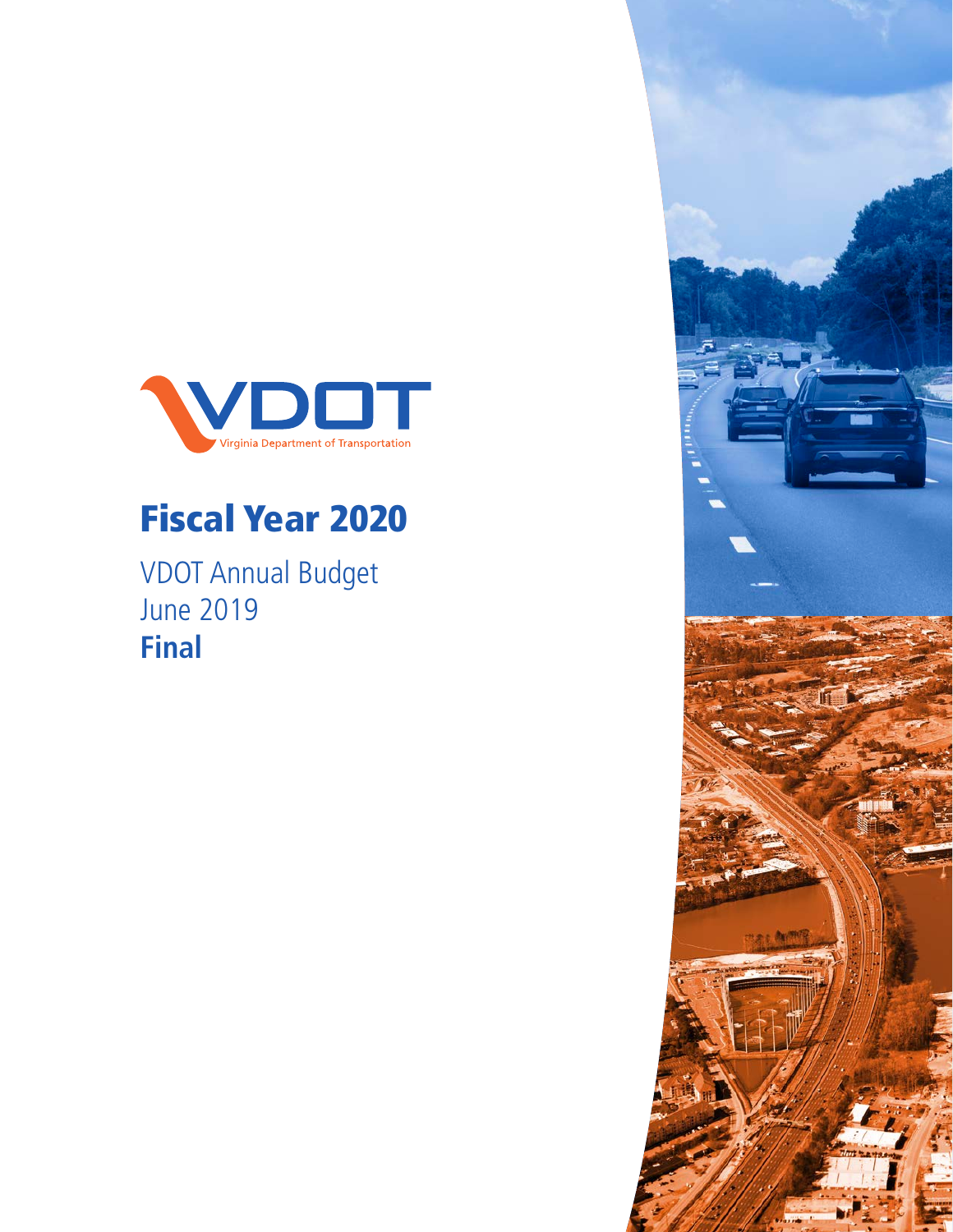

# Fiscal Year 2020

VDOT Annual Budget June 2019 **Final**

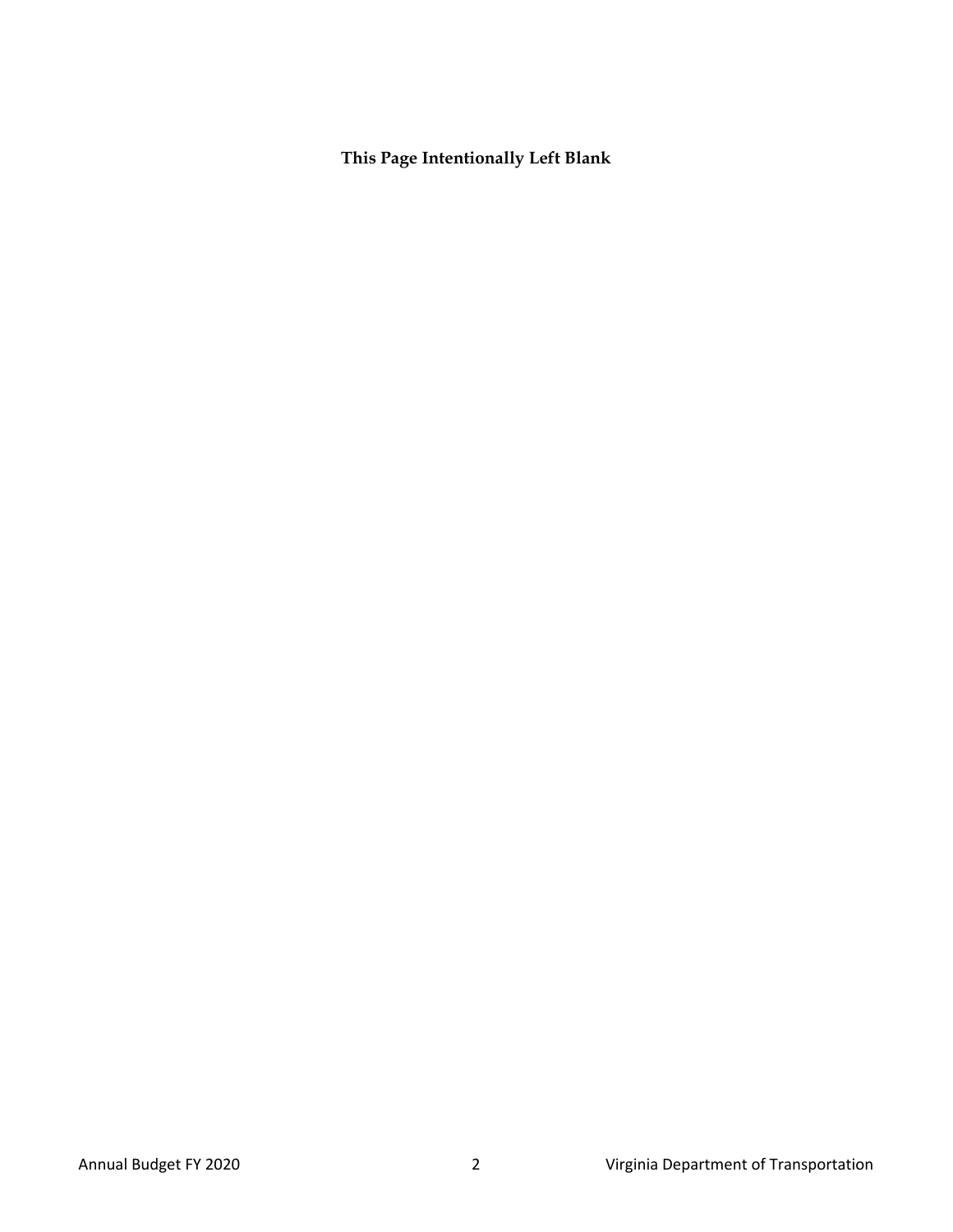**This Page Intentionally Left Blank**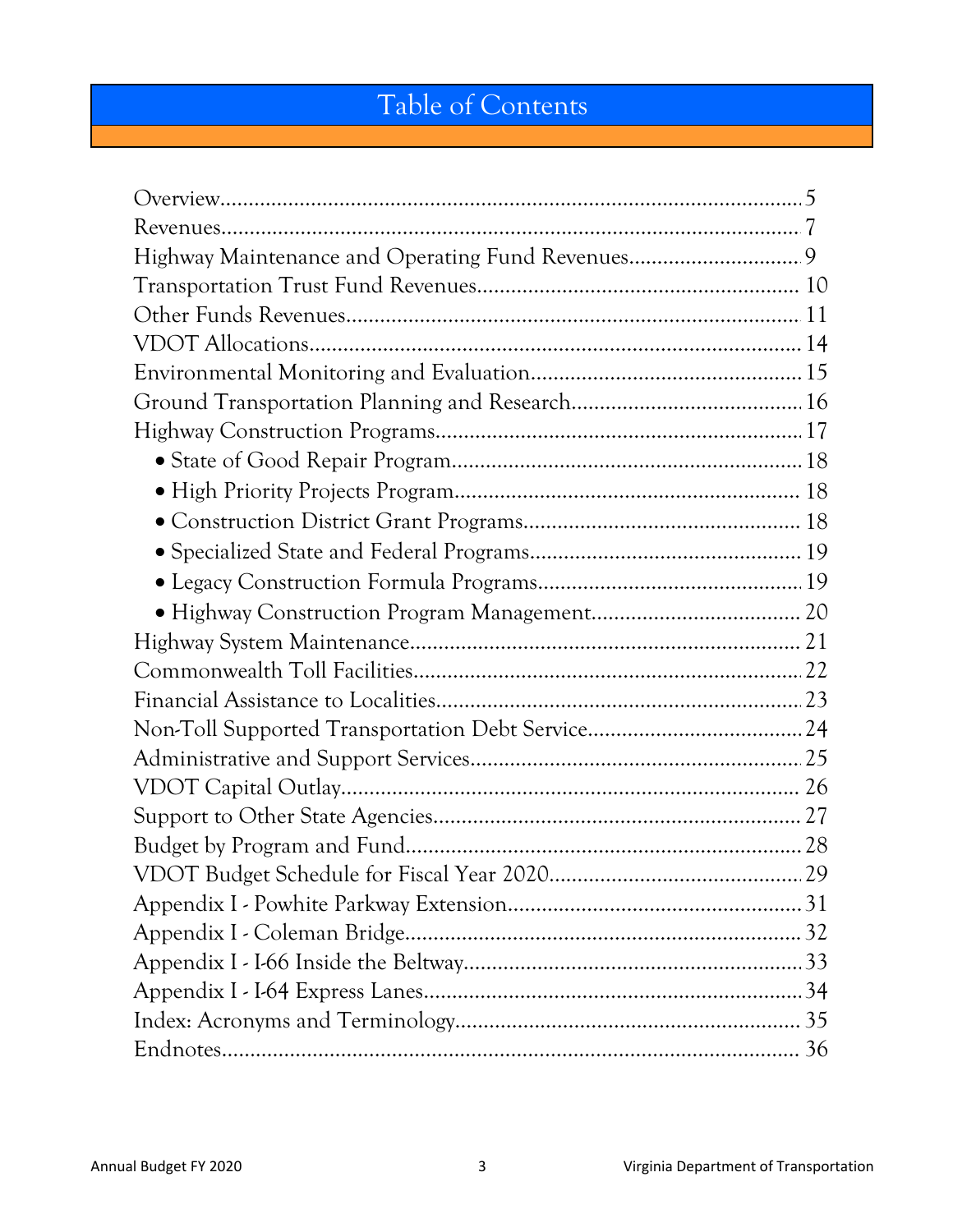## Table of Contents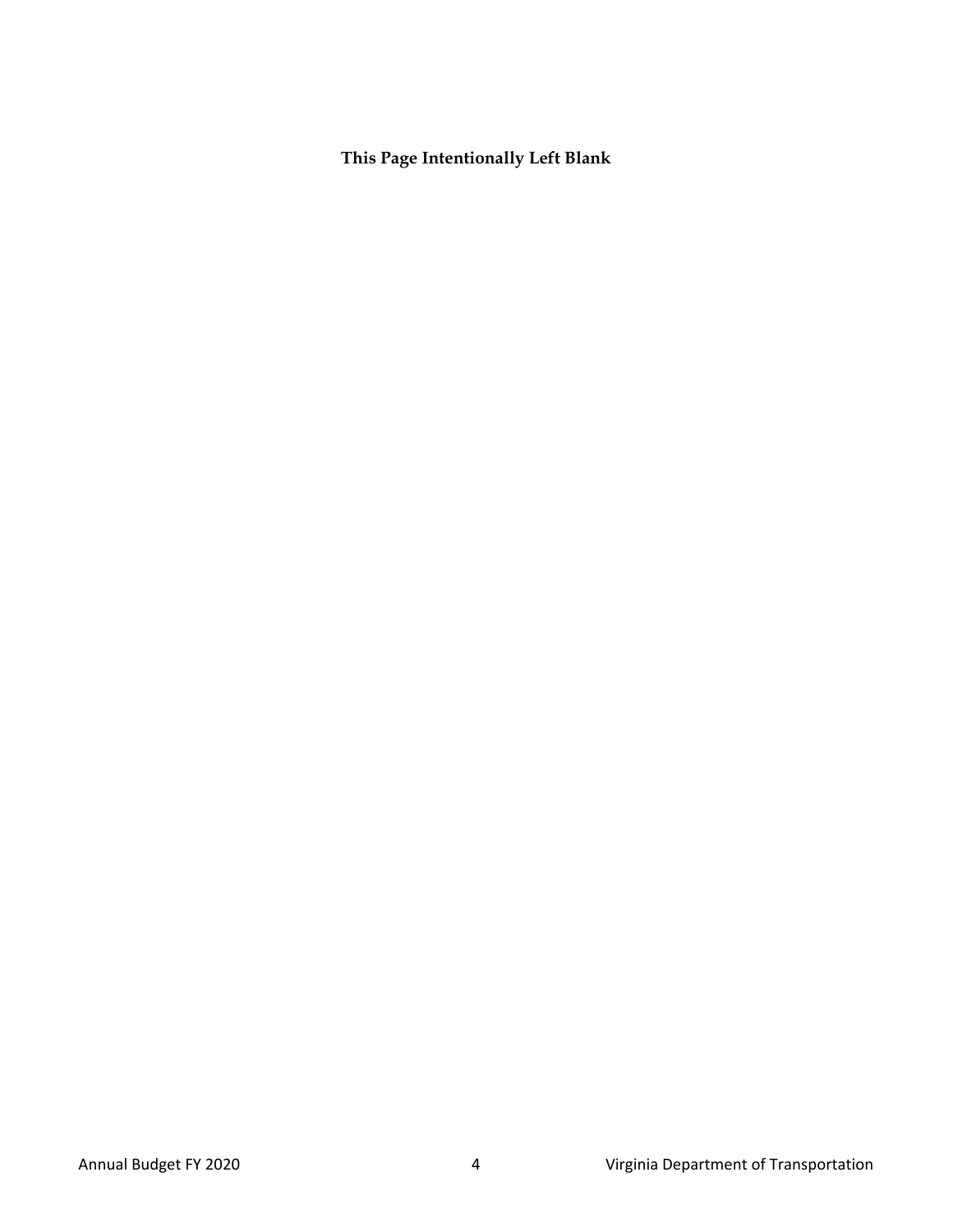**This Page Intentionally Left Blank**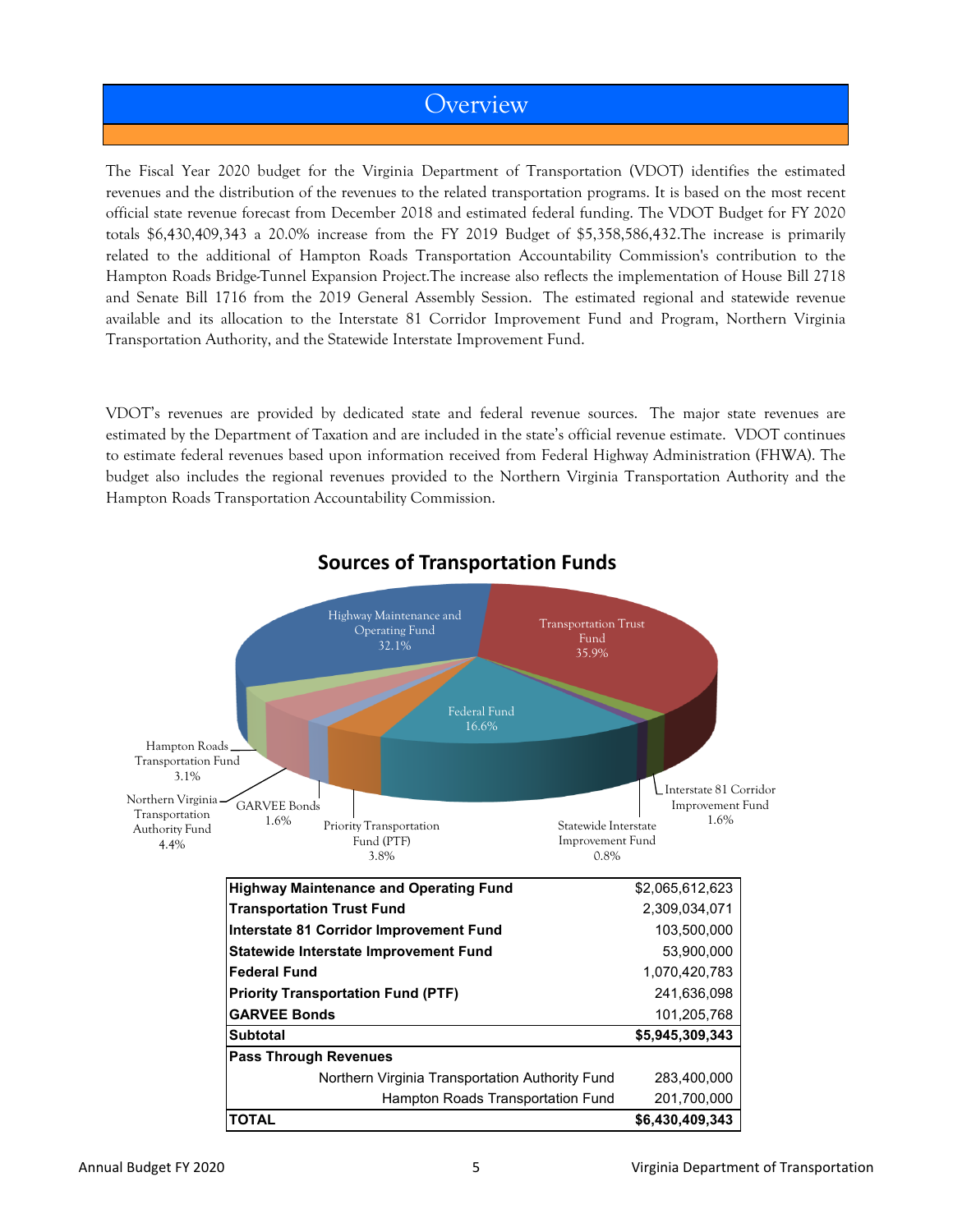### Overview

The Fiscal Year 2020 budget for the Virginia Department of Transportation (VDOT) identifies the estimated revenues and the distribution of the revenues to the related transportation programs. It is based on the most recent official state revenue forecast from December 2018 and estimated federal funding. The VDOT Budget for FY 2020 totals \$6,430,409,343 a 20.0% increase from the FY 2019 Budget of \$5,358,586,432.The increase is primarily related to the additional of Hampton Roads Transportation Accountability Commission's contribution to the Hampton Roads Bridge-Tunnel Expansion Project.The increase also reflects the implementation of House Bill 2718 and Senate Bill 1716 from the 2019 General Assembly Session. The estimated regional and statewide revenue available and its allocation to the Interstate 81 Corridor Improvement Fund and Program, Northern Virginia Transportation Authority, and the Statewide Interstate Improvement Fund.

VDOT's revenues are provided by dedicated state and federal revenue sources. The major state revenues are estimated by the Department of Taxation and are included in the state's official revenue estimate. VDOT continues to estimate federal revenues based upon information received from Federal Highway Administration (FHWA). The budget also includes the regional revenues provided to the Northern Virginia Transportation Authority and the Hampton Roads Transportation Accountability Commission.



### **Sources of Transportation Funds**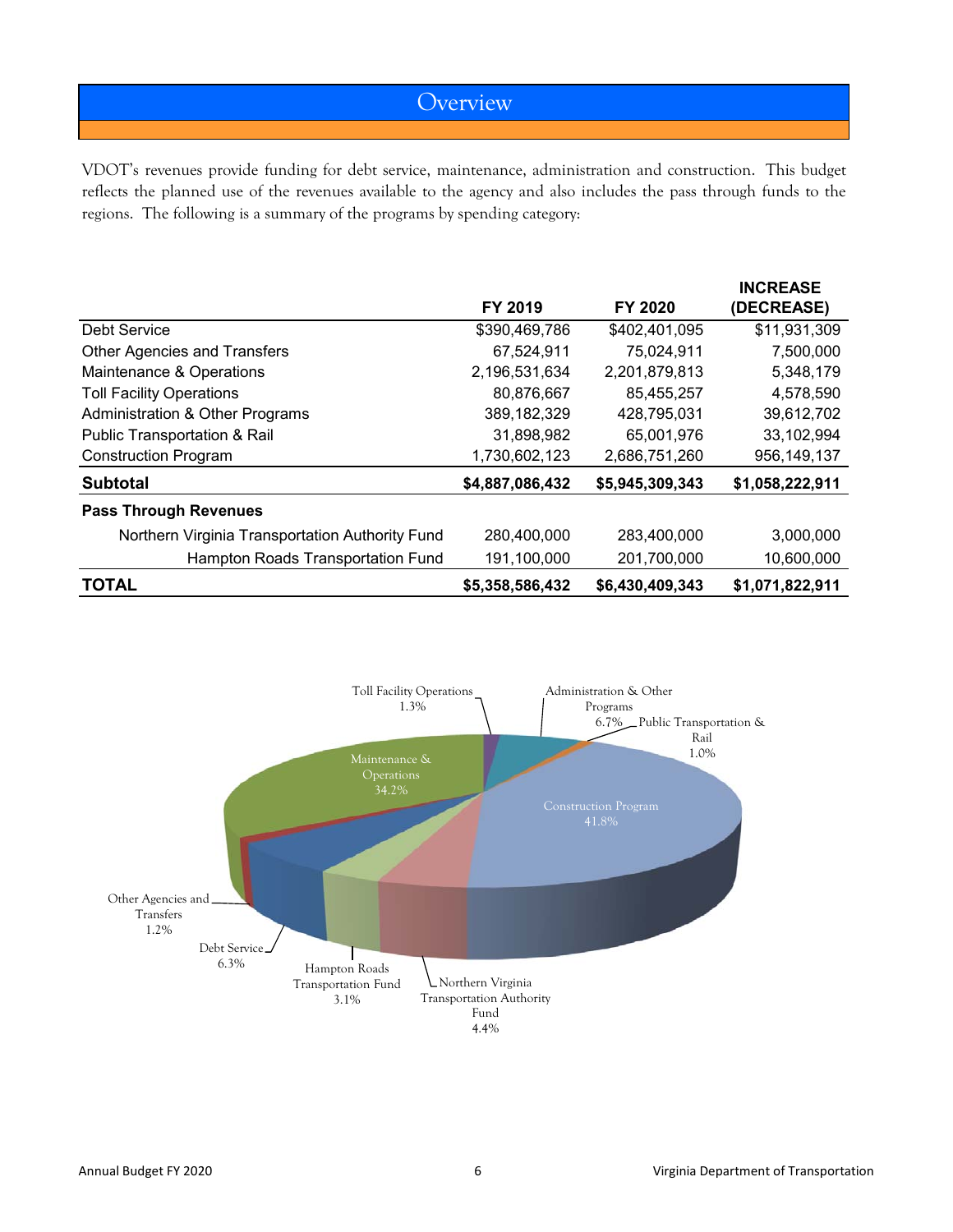### **Overview**

VDOT's revenues provide funding for debt service, maintenance, administration and construction. This budget reflects the planned use of the revenues available to the agency and also includes the pass through funds to the regions. The following is a summary of the programs by spending category:

|                                                 |                 |                 | <b>INCREASE</b> |
|-------------------------------------------------|-----------------|-----------------|-----------------|
|                                                 | FY 2019         | FY 2020         | (DECREASE)      |
| Debt Service                                    | \$390,469,786   | \$402,401,095   | \$11,931,309    |
| <b>Other Agencies and Transfers</b>             | 67,524,911      | 75,024,911      | 7,500,000       |
| Maintenance & Operations                        | 2,196,531,634   | 2,201,879,813   | 5,348,179       |
| <b>Toll Facility Operations</b>                 | 80,876,667      | 85,455,257      | 4,578,590       |
| <b>Administration &amp; Other Programs</b>      | 389, 182, 329   | 428,795,031     | 39,612,702      |
| <b>Public Transportation &amp; Rail</b>         | 31,898,982      | 65,001,976      | 33,102,994      |
| <b>Construction Program</b>                     | 1,730,602,123   | 2,686,751,260   | 956,149,137     |
| <b>Subtotal</b>                                 | \$4,887,086,432 | \$5,945,309,343 | \$1,058,222,911 |
| <b>Pass Through Revenues</b>                    |                 |                 |                 |
| Northern Virginia Transportation Authority Fund | 280,400,000     | 283,400,000     | 3,000,000       |
| Hampton Roads Transportation Fund               | 191,100,000     | 201,700,000     | 10,600,000      |
| <b>TOTAL</b>                                    | \$5,358,586,432 | \$6,430,409,343 | \$1,071,822,911 |

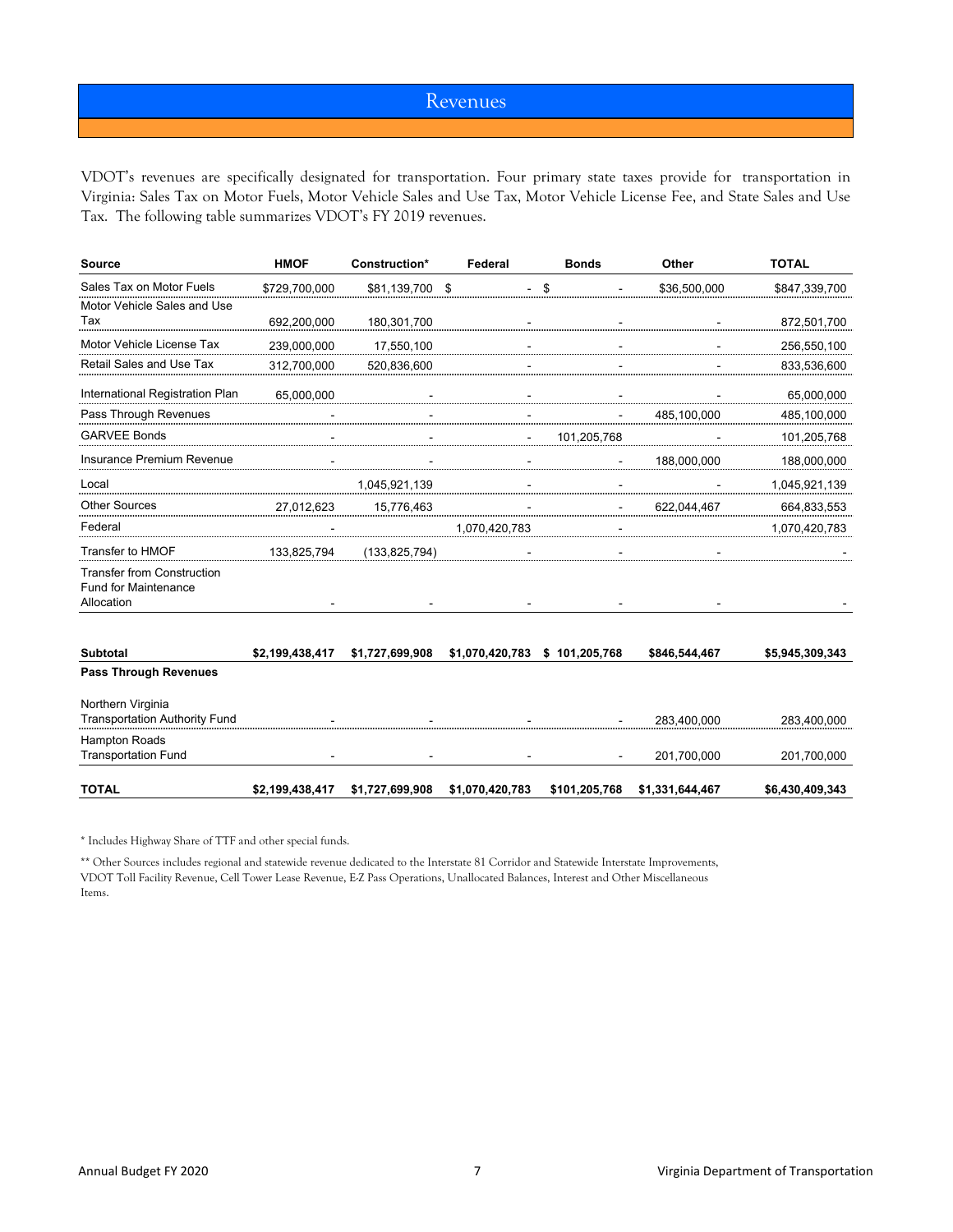### Revenues

VDOT's revenues are specifically designated for transportation. Four primary state taxes provide for transportation in Virginia: Sales Tax on Motor Fuels, Motor Vehicle Sales and Use Tax, Motor Vehicle License Fee, and State Sales and Use Tax. The following table summarizes VDOT's FY 2019 revenues.

| <b>Source</b>                                                                  | <b>HMOF</b>     | Construction*   | Federal         | <b>Bonds</b>  | Other           | <b>TOTAL</b>    |
|--------------------------------------------------------------------------------|-----------------|-----------------|-----------------|---------------|-----------------|-----------------|
| Sales Tax on Motor Fuels                                                       | \$729,700,000   | \$81,139,700 \$ |                 | - \$          | \$36,500,000    | \$847,339,700   |
| Motor Vehicle Sales and Use                                                    |                 |                 |                 |               |                 |                 |
| Tax                                                                            | 692,200,000     | 180,301,700     |                 |               |                 | 872,501,700     |
| Motor Vehicle License Tax                                                      | 239.000.000     | 17.550.100      |                 |               |                 | 256,550,100     |
| Retail Sales and Use Tax                                                       | 312,700,000     | 520,836,600     |                 |               |                 | 833,536,600     |
| International Registration Plan                                                | 65,000,000      |                 |                 |               |                 | 65,000,000      |
| Pass Through Revenues                                                          |                 |                 |                 |               | 485,100,000     | 485,100,000     |
| <b>GARVEE Bonds</b>                                                            |                 |                 |                 | 101,205,768   |                 | 101,205,768     |
| Insurance Premium Revenue                                                      |                 |                 |                 |               | 188.000.000     | 188,000,000     |
| Local                                                                          |                 |                 |                 |               |                 | 1,045,921,139   |
| Other Sources<br>ther Sources 27,012,623                                       |                 | 15,776,463      |                 |               | 622,044,467     | 664,833,553     |
| Federal                                                                        |                 |                 |                 |               |                 | 1,070,420,783   |
| <b>Transfer to HMOF</b>                                                        | 133,825,794     | (133, 825, 794) |                 |               |                 |                 |
| <b>Transfer from Construction</b><br><b>Fund for Maintenance</b><br>Allocation |                 |                 |                 |               |                 |                 |
|                                                                                |                 |                 |                 |               |                 |                 |
| <b>Subtotal</b>                                                                | \$2,199,438,417 | \$1,727,699,908 | \$1,070,420,783 | \$101,205,768 | \$846,544,467   | \$5,945,309,343 |
| <b>Pass Through Revenues</b>                                                   |                 |                 |                 |               |                 |                 |
| Northern Virginia<br><b>Transportation Authority Fund</b>                      |                 |                 |                 |               | 283.400.000     | 283.400.000     |
| Hampton Roads<br><b>Transportation Fund</b>                                    |                 |                 |                 |               | 201,700,000     | 201,700,000     |
| <b>TOTAL</b>                                                                   | \$2.199.438.417 | \$1.727.699.908 | \$1,070,420,783 | \$101,205,768 | \$1,331,644,467 | \$6,430,409,343 |

\* Includes Highway Share of TTF and other special funds.

\*\* Other Sources includes regional and statewide revenue dedicated to the Interstate 81 Corridor and Statewide Interstate Improvements, VDOT Toll Facility Revenue, Cell Tower Lease Revenue, E-Z Pass Operations, Unallocated Balances, Interest and Other Miscellaneous Items.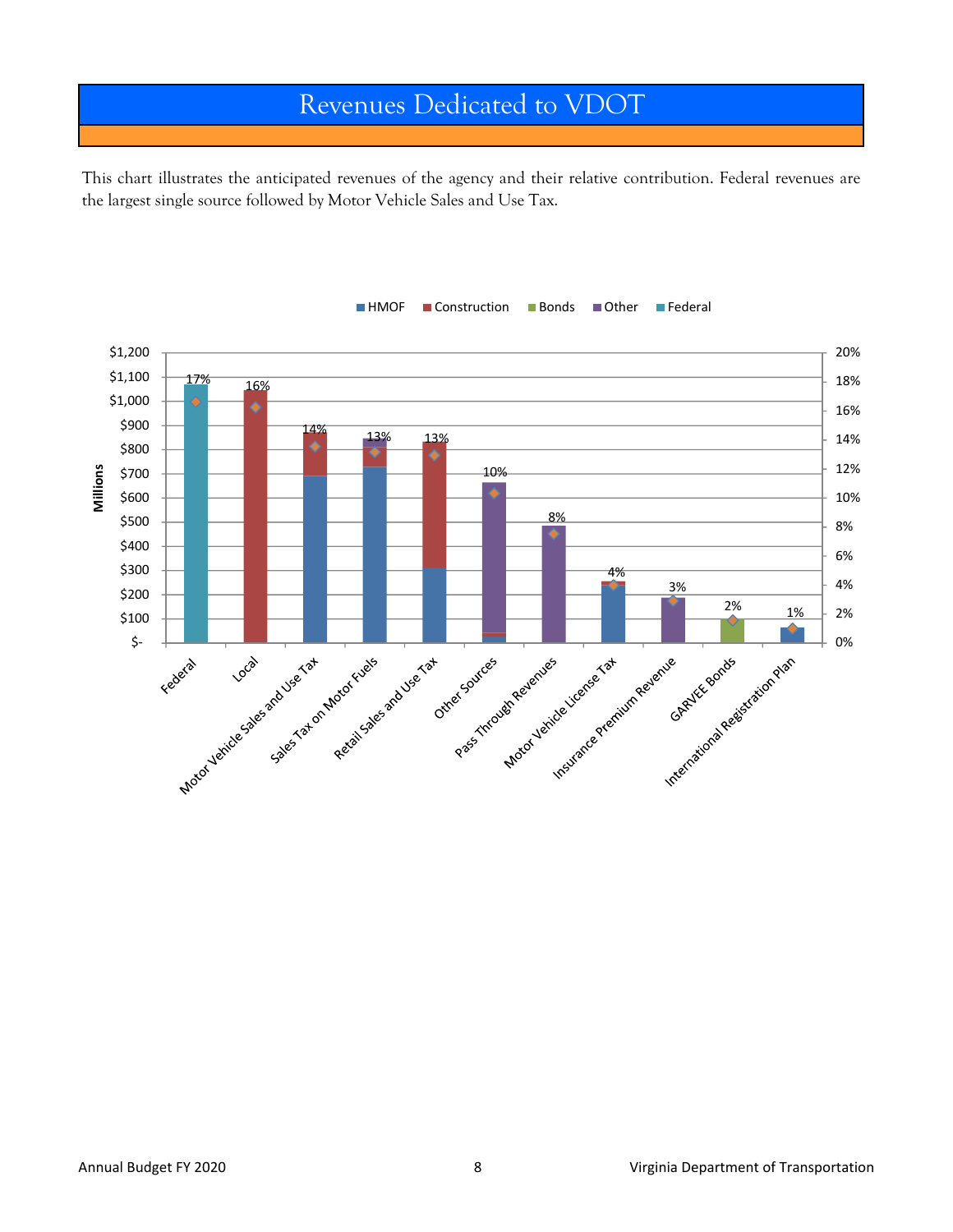## Revenues Dedicated to VDOT

This chart illustrates the anticipated revenues of the agency and their relative contribution. Federal revenues are the largest single source followed by Motor Vehicle Sales and Use Tax.

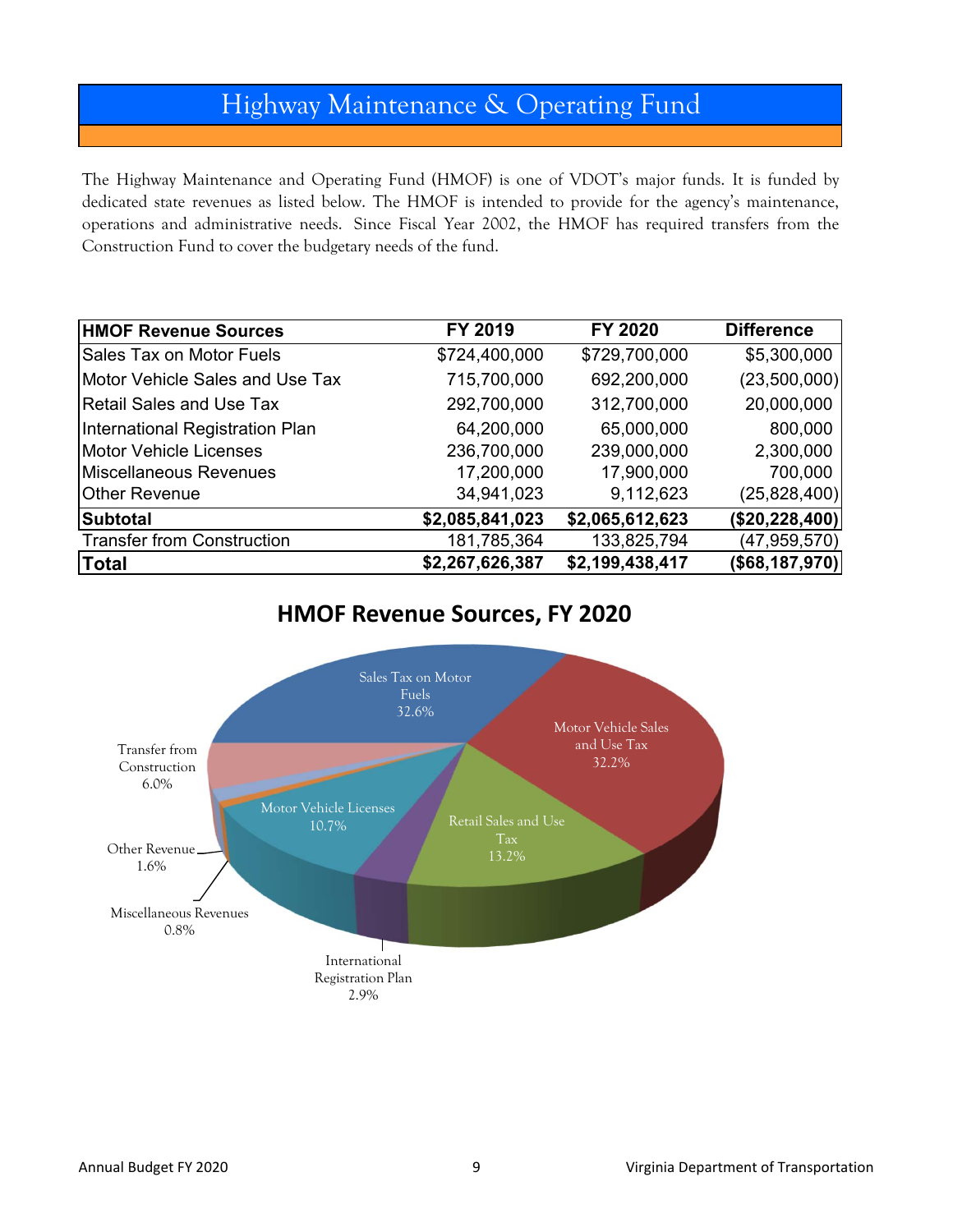## Highway Maintenance & Operating Fund

The Highway Maintenance and Operating Fund (HMOF) is one of VDOT's major funds. It is funded by dedicated state revenues as listed below. The HMOF is intended to provide for the agency's maintenance, operations and administrative needs. Since Fiscal Year 2002, the HMOF has required transfers from the Construction Fund to cover the budgetary needs of the fund.

| <b>HMOF Revenue Sources</b>       | FY 2019         | FY 2020         | <b>Difference</b> |
|-----------------------------------|-----------------|-----------------|-------------------|
| <b>Sales Tax on Motor Fuels</b>   | \$724,400,000   | \$729,700,000   | \$5,300,000       |
| Motor Vehicle Sales and Use Tax   | 715,700,000     | 692,200,000     | (23,500,000)      |
| Retail Sales and Use Tax          | 292,700,000     | 312,700,000     | 20,000,000        |
| International Registration Plan   | 64,200,000      | 65,000,000      | 800,000           |
| <b>Motor Vehicle Licenses</b>     | 236,700,000     | 239,000,000     | 2,300,000         |
| Miscellaneous Revenues            | 17,200,000      | 17,900,000      | 700,000           |
| <b>Other Revenue</b>              | 34,941,023      | 9,112,623       | (25, 828, 400)    |
| <b>Subtotal</b>                   | \$2,085,841,023 | \$2,065,612,623 | (\$20,228,400)    |
| <b>Transfer from Construction</b> | 181,785,364     | 133,825,794     | (47,959,570)      |
| Total                             | \$2,267,626,387 | \$2,199,438,417 | (\$68,187,970)    |

## **HMOF Revenue Sources, FY 2020**

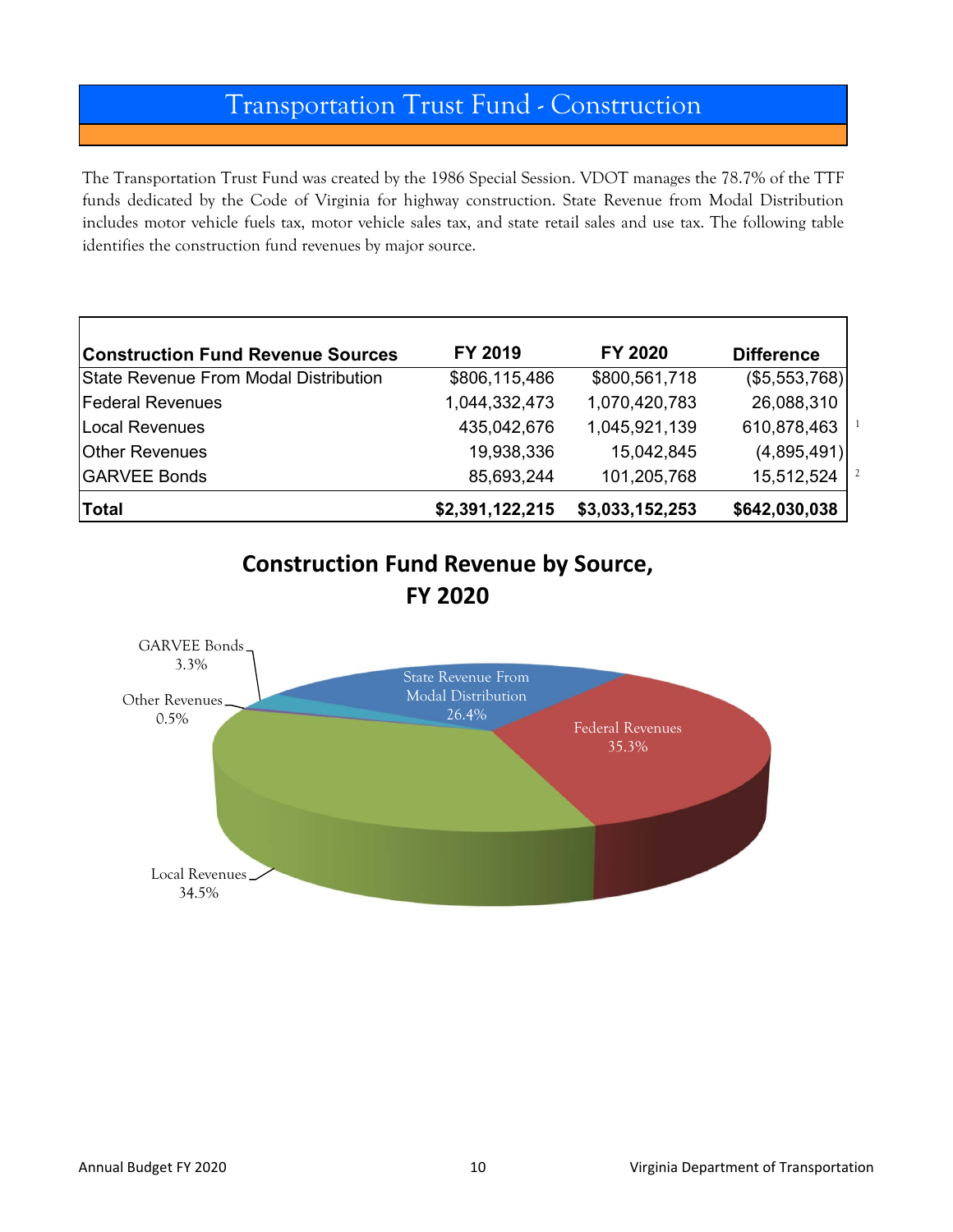## Transportation Trust Fund - Construction

The Transportation Trust Fund was created by the 1986 Special Session. VDOT manages the 78.7% of the TTF funds dedicated by the Code of Virginia for highway construction. State Revenue from Modal Distribution includes motor vehicle fuels tax, motor vehicle sales tax, and state retail sales and use tax. The following table identifies the construction fund revenues by major source.

| <b>Construction Fund Revenue Sources</b> | FY 2019         | FY 2020         | <b>Difference</b> |
|------------------------------------------|-----------------|-----------------|-------------------|
| State Revenue From Modal Distribution    | \$806,115,486   | \$800,561,718   | ( \$5,553,768)    |
| <b>Federal Revenues</b>                  | 1,044,332,473   | 1,070,420,783   | 26,088,310        |
| Local Revenues                           | 435,042,676     | 1,045,921,139   | 610,878,463       |
| <b>Other Revenues</b>                    | 19,938,336      | 15,042,845      | (4,895,491)       |
| <b>GARVEE Bonds</b>                      | 85,693,244      | 101,205,768     | 15,512,524        |
| Total                                    | \$2,391,122,215 | \$3,033,152,253 | \$642,030,038     |

## **Construction Fund Revenue by Source, FY 2020**

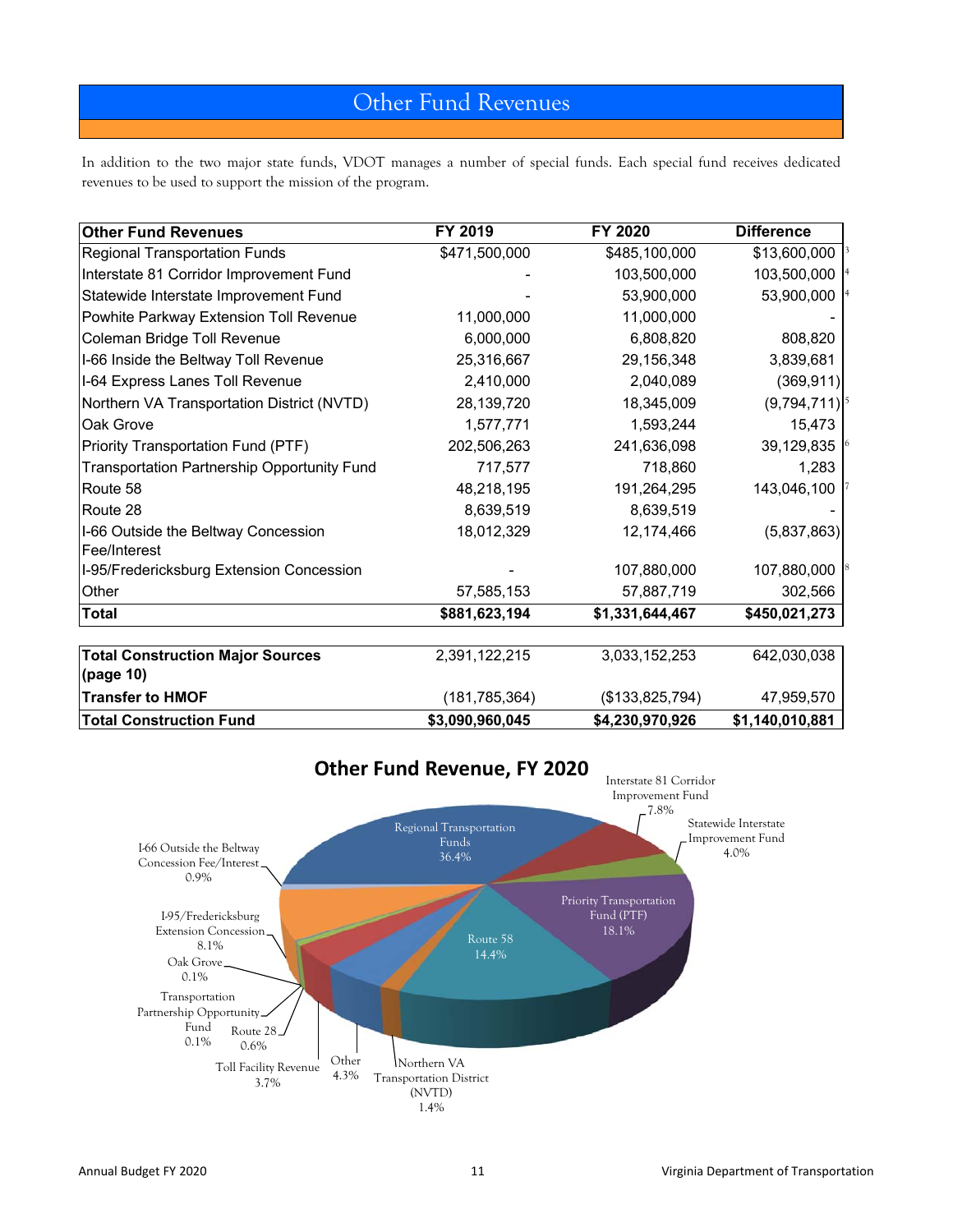## Other Fund Revenues

In addition to the two major state funds, VDOT manages a number of special funds. Each special fund receives dedicated revenues to be used to support the mission of the program.

| <b>Other Fund Revenues</b>                          | FY 2019         | <b>FY 2020</b>  | <b>Difference</b> |
|-----------------------------------------------------|-----------------|-----------------|-------------------|
| <b>Regional Transportation Funds</b>                | \$471,500,000   | \$485,100,000   | \$13,600,000      |
| Interstate 81 Corridor Improvement Fund             |                 | 103,500,000     | 103,500,000       |
| Statewide Interstate Improvement Fund               |                 | 53,900,000      | 53,900,000        |
| Powhite Parkway Extension Toll Revenue              | 11,000,000      | 11,000,000      |                   |
| Coleman Bridge Toll Revenue                         | 6,000,000       | 6,808,820       | 808,820           |
| I-66 Inside the Beltway Toll Revenue                | 25,316,667      | 29,156,348      | 3,839,681         |
| I-64 Express Lanes Toll Revenue                     | 2,410,000       | 2,040,089       | (369, 911)        |
| Northern VA Transportation District (NVTD)          | 28,139,720      | 18,345,009      | $(9,794,711)^{5}$ |
| Oak Grove                                           | 1,577,771       | 1,593,244       | 15,473            |
| Priority Transportation Fund (PTF)                  | 202,506,263     | 241,636,098     | 39,129,835        |
| <b>Transportation Partnership Opportunity Fund</b>  | 717,577         | 718,860         | 1,283             |
| Route 58                                            | 48,218,195      | 191,264,295     | 143,046,100       |
| Route 28                                            | 8,639,519       | 8,639,519       |                   |
| I-66 Outside the Beltway Concession<br>Fee/Interest | 18,012,329      | 12,174,466      | (5,837,863)       |
| I-95/Fredericksburg Extension Concession            |                 | 107,880,000     | 107,880,000       |
| Other                                               | 57,585,153      | 57,887,719      | 302,566           |
| <b>Total</b>                                        | \$881,623,194   | \$1,331,644,467 | \$450,021,273     |
|                                                     |                 |                 |                   |
| <b>Total Construction Major Sources</b>             | 2,391,122,215   | 3,033,152,253   | 642,030,038       |
| (page 10)<br><b>Transfer to HMOF</b>                | (181, 785, 364) | (\$133,825,794) | 47,959,570        |
| <b>Total Construction Fund</b>                      | \$3,090,960,045 | \$4,230,970,926 | \$1,140,010,881   |
|                                                     |                 |                 |                   |

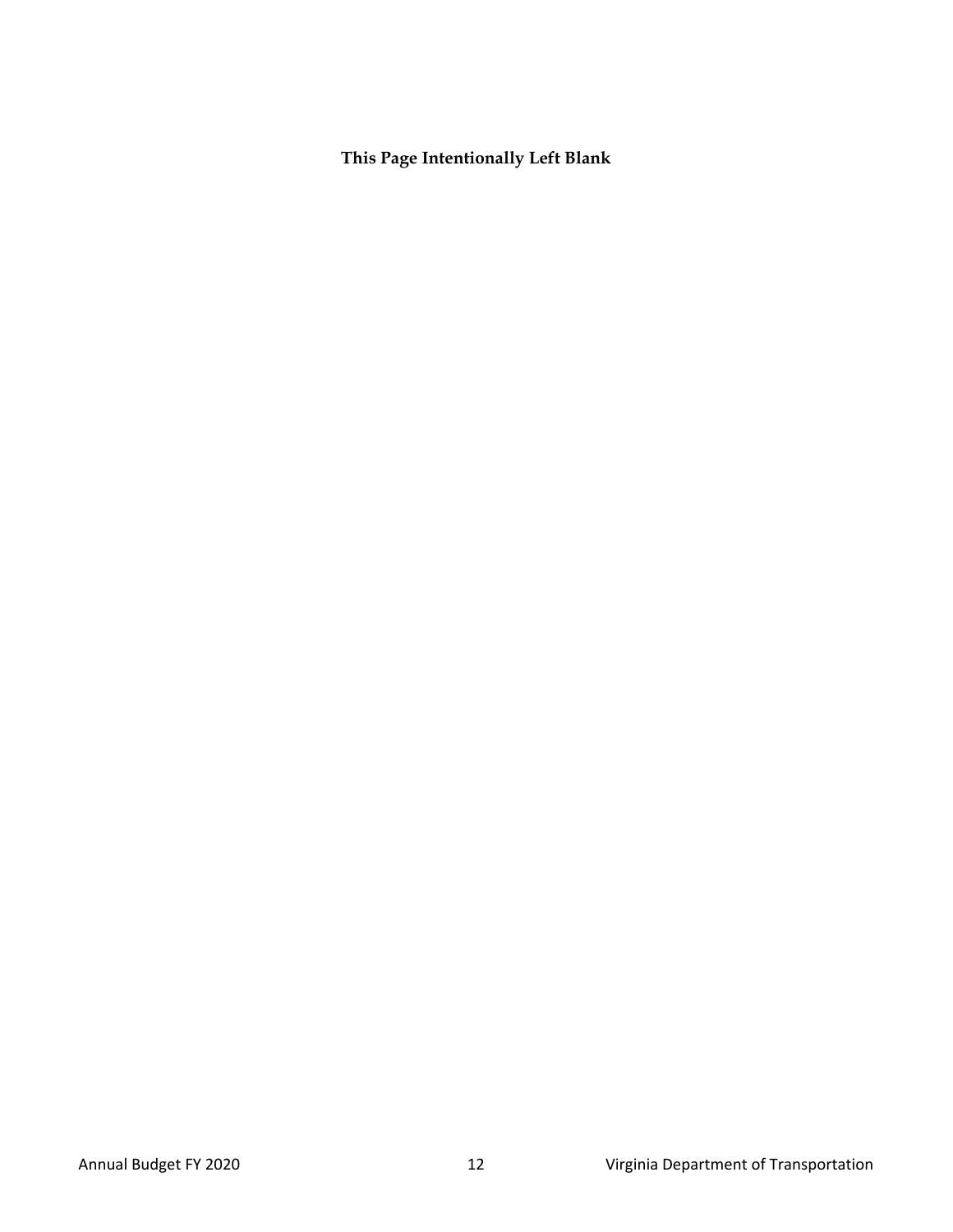**This Page Intentionally Left Blank**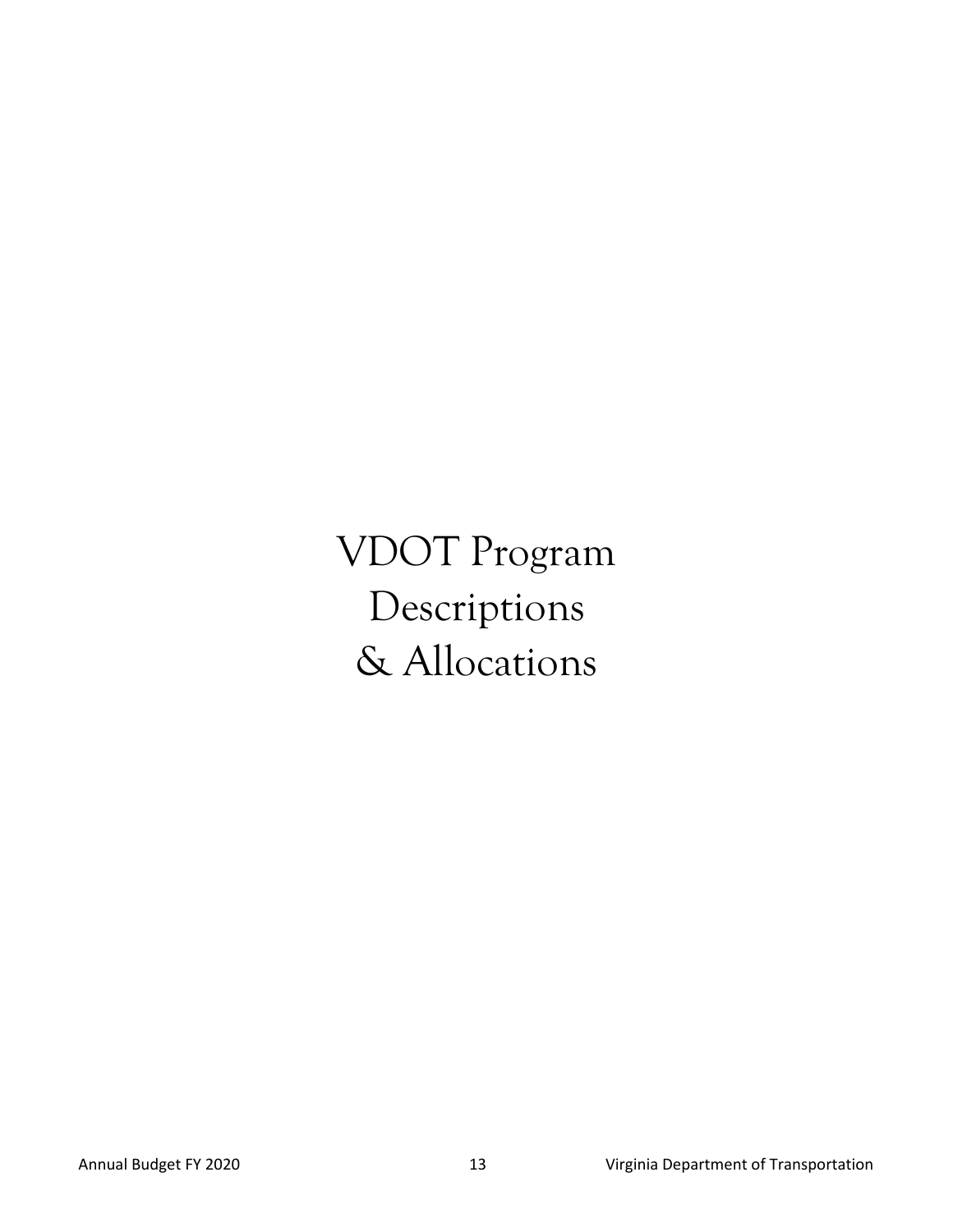VDOT Program Descriptions & Allocations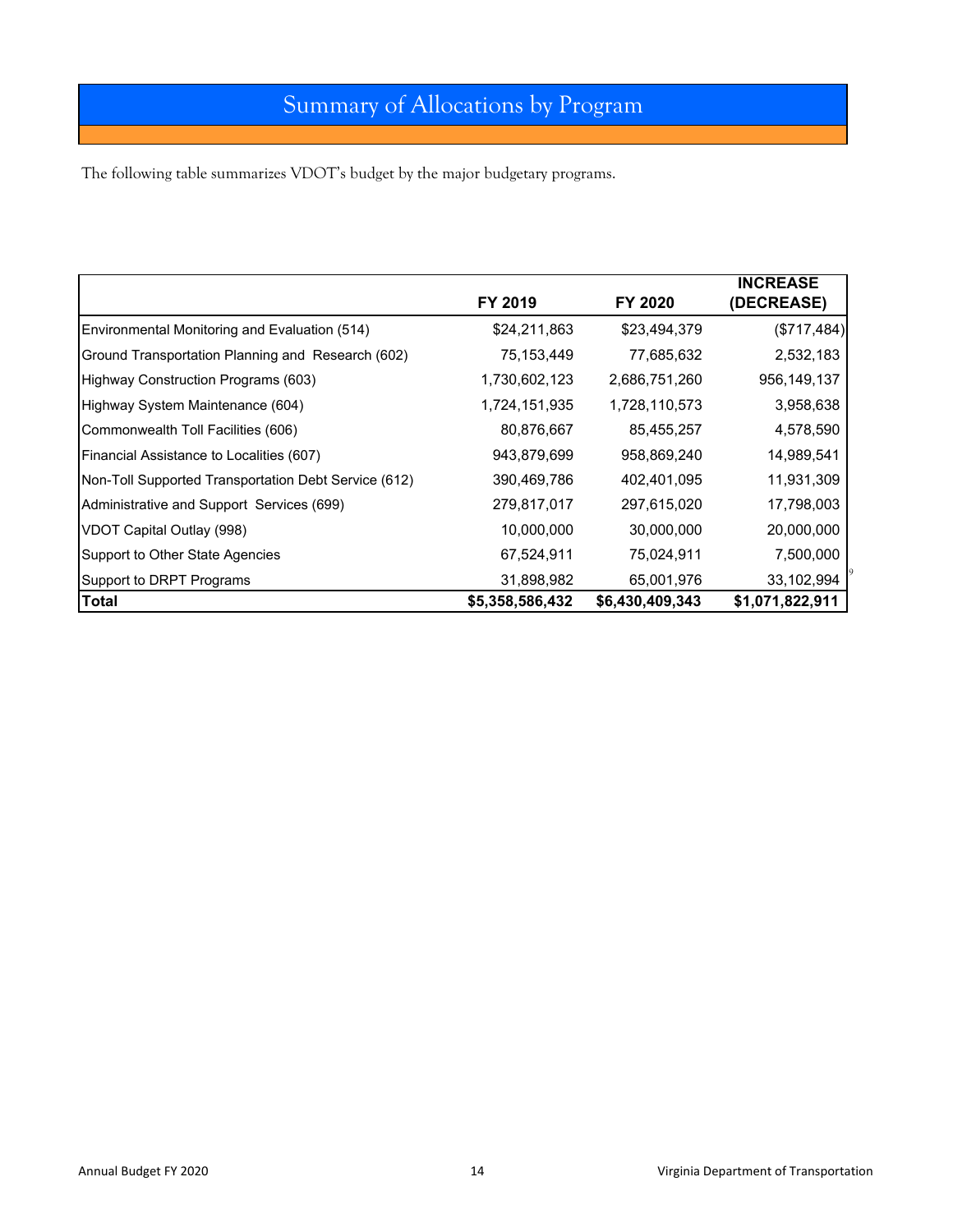The following table summarizes VDOT's budget by the major budgetary programs.

|                                                      |                 |                 | <b>INCREASE</b> |
|------------------------------------------------------|-----------------|-----------------|-----------------|
|                                                      | FY 2019         | FY 2020         | (DECREASE)      |
| Environmental Monitoring and Evaluation (514)        | \$24,211,863    | \$23,494,379    | (\$717,484)     |
| Ground Transportation Planning and Research (602)    | 75,153,449      | 77,685,632      | 2,532,183       |
| Highway Construction Programs (603)                  | 1,730,602,123   | 2,686,751,260   | 956,149,137     |
| Highway System Maintenance (604)                     | 1,724,151,935   | 1,728,110,573   | 3,958,638       |
| Commonwealth Toll Facilities (606)                   | 80,876,667      | 85,455,257      | 4,578,590       |
| Financial Assistance to Localities (607)             | 943,879,699     | 958,869,240     | 14,989,541      |
| Non-Toll Supported Transportation Debt Service (612) | 390,469,786     | 402,401,095     | 11,931,309      |
| Administrative and Support Services (699)            | 279,817,017     | 297,615,020     | 17,798,003      |
| VDOT Capital Outlay (998)                            | 10,000,000      | 30,000,000      | 20,000,000      |
| Support to Other State Agencies                      | 67,524,911      | 75,024,911      | 7,500,000       |
| Support to DRPT Programs                             | 31,898,982      | 65,001,976      | 33,102,994      |
| <b>Total</b>                                         | \$5,358,586,432 | \$6,430,409,343 | \$1,071,822,911 |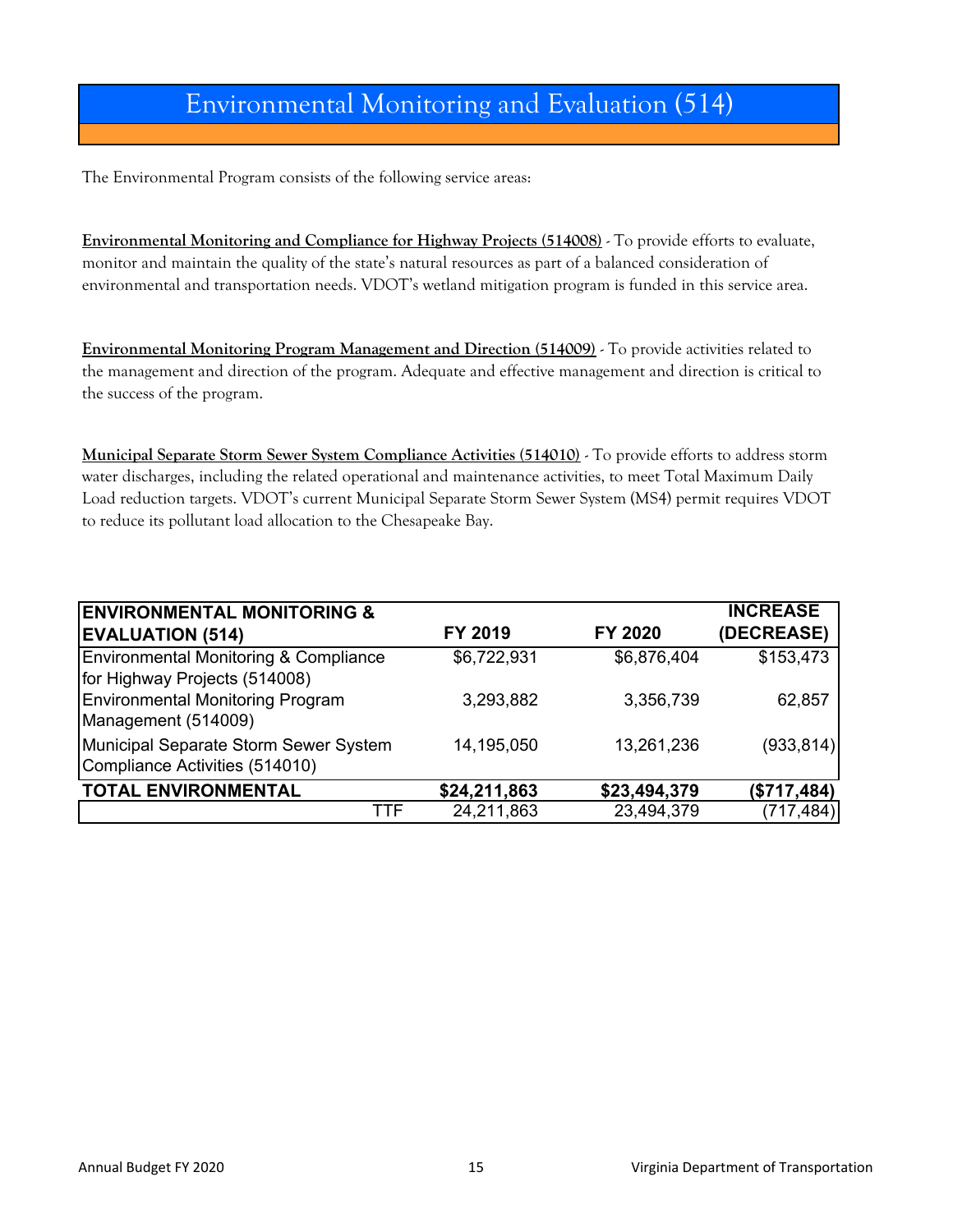## Environmental Monitoring and Evaluation (514)

The Environmental Program consists of the following service areas:

**Environmental Monitoring and Compliance for Highway Projects (514008)** - To provide efforts to evaluate, monitor and maintain the quality of the state's natural resources as part of a balanced consideration of environmental and transportation needs. VDOT's wetland mitigation program is funded in this service area.

**Environmental Monitoring Program Management and Direction (514009)** - To provide activities related to the management and direction of the program. Adequate and effective management and direction is critical to the success of the program.

**Municipal Separate Storm Sewer System Compliance Activities (514010)** - To provide efforts to address storm water discharges, including the related operational and maintenance activities, to meet Total Maximum Daily Load reduction targets. VDOT's current Municipal Separate Storm Sewer System (MS4) permit requires VDOT to reduce its pollutant load allocation to the Chesapeake Bay.

| <b>ENVIRONMENTAL MONITORING &amp;</b>                                   |              |              | <b>INCREASE</b> |
|-------------------------------------------------------------------------|--------------|--------------|-----------------|
| <b>EVALUATION (514)</b>                                                 | FY 2019      | FY 2020      | (DECREASE)      |
| Environmental Monitoring & Compliance<br>for Highway Projects (514008)  | \$6,722,931  | \$6,876,404  | \$153,473       |
| <b>Environmental Monitoring Program</b><br>Management (514009)          | 3,293,882    | 3,356,739    | 62,857          |
| Municipal Separate Storm Sewer System<br>Compliance Activities (514010) | 14,195,050   | 13,261,236   | (933, 814)      |
| <b>TOTAL ENVIRONMENTAL</b>                                              | \$24,211,863 | \$23,494,379 | (\$717,484)     |
| TTF                                                                     | 24,211,863   | 23,494,379   | (717, 484)      |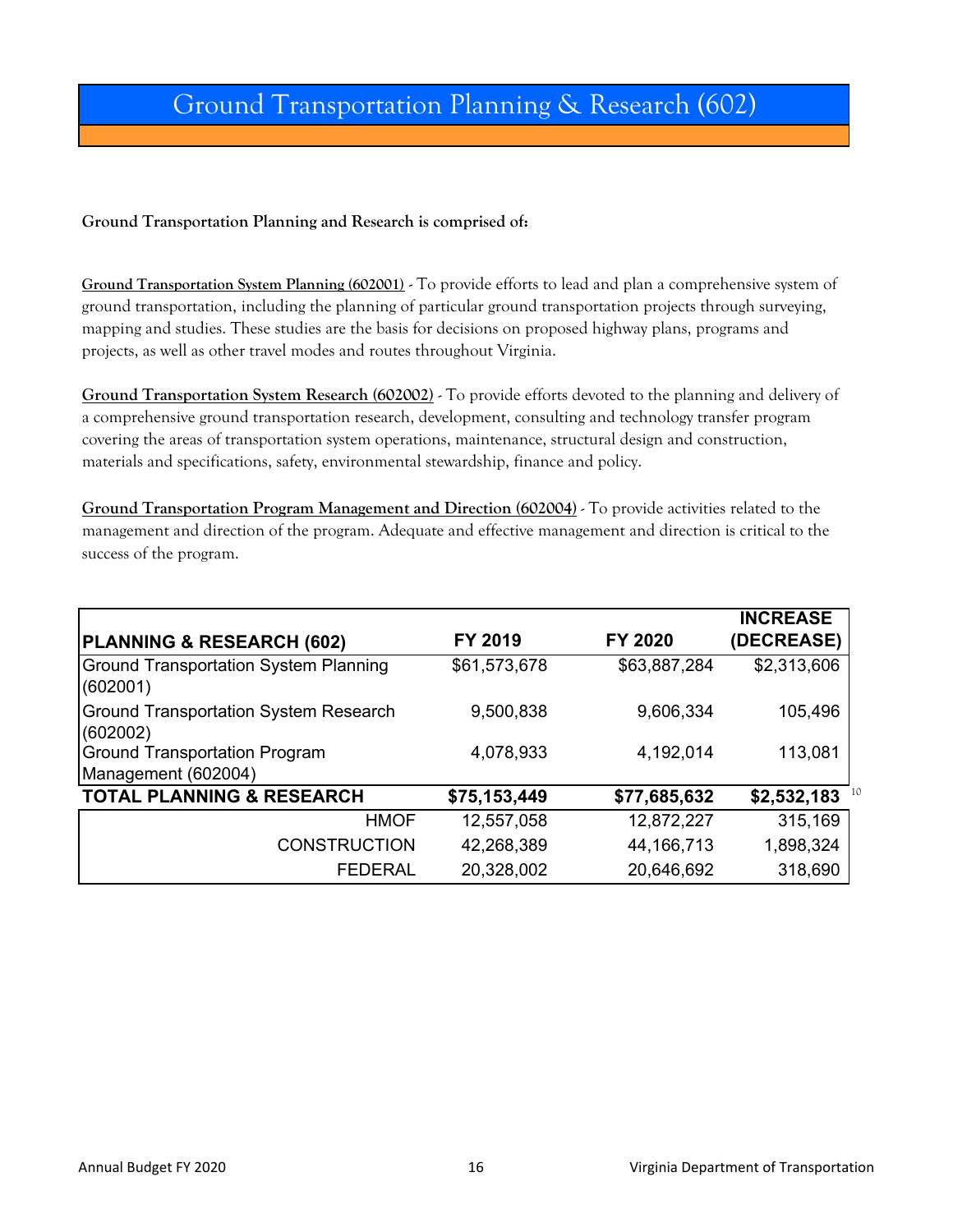## Ground Transportation Planning & Research (602)

#### **Ground Transportation Planning and Research is comprised of:**

**Ground Transportation System Planning (602001)** - To provide efforts to lead and plan a comprehensive system of ground transportation, including the planning of particular ground transportation projects through surveying, mapping and studies. These studies are the basis for decisions on proposed highway plans, programs and projects, as well as other travel modes and routes throughout Virginia.

**Ground Transportation System Research (602002)** - To provide efforts devoted to the planning and delivery of a comprehensive ground transportation research, development, consulting and technology transfer program covering the areas of transportation system operations, maintenance, structural design and construction, materials and specifications, safety, environmental stewardship, finance and policy.

**Ground Transportation Program Management and Direction (602004)** - To provide activities related to the management and direction of the program. Adequate and effective management and direction is critical to the success of the program.

| PLANNING & RESEARCH (602)                                   | FY 2019      | FY 2020      | <b>INCREASE</b><br>(DECREASE) |
|-------------------------------------------------------------|--------------|--------------|-------------------------------|
| <b>Ground Transportation System Planning</b><br>(602001)    | \$61,573,678 | \$63,887,284 | \$2,313,606                   |
| <b>Ground Transportation System Research</b><br>(602002)    | 9,500,838    | 9,606,334    | 105,496                       |
| <b>Ground Transportation Program</b><br>Management (602004) | 4,078,933    | 4,192,014    | 113,081                       |
| <b>TOTAL PLANNING &amp; RESEARCH</b>                        | \$75,153,449 | \$77,685,632 | 10<br>\$2,532,183             |
| <b>HMOF</b>                                                 | 12,557,058   | 12,872,227   | 315,169                       |
| <b>CONSTRUCTION</b>                                         | 42,268,389   | 44, 166, 713 | 1,898,324                     |
| <b>FEDERAL</b>                                              | 20,328,002   | 20,646,692   | 318,690                       |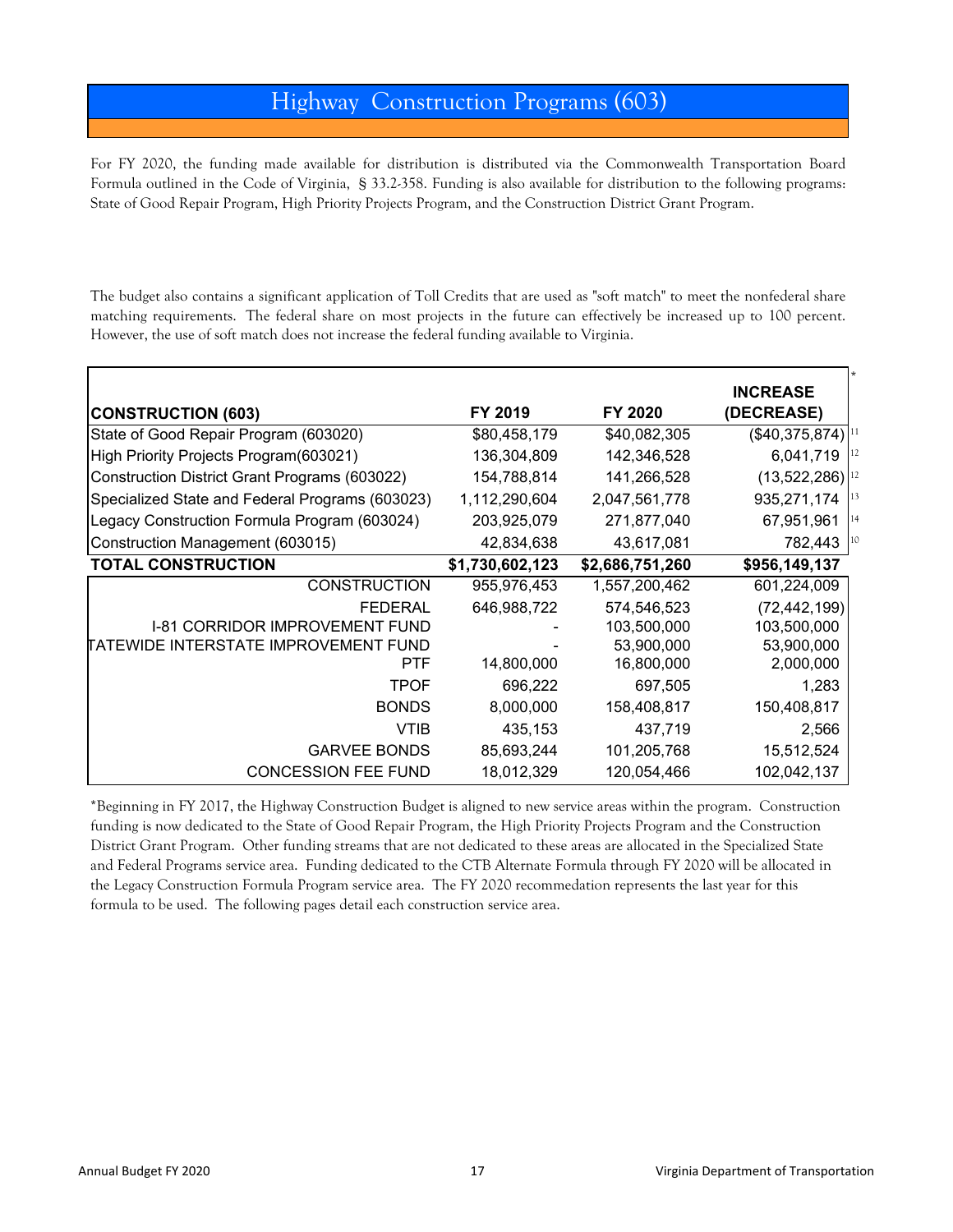### Highway Construction Programs (603)

For FY 2020, the funding made available for distribution is distributed via the Commonwealth Transportation Board Formula outlined in the Code of Virginia, § 33.2-358. Funding is also available for distribution to the following programs: State of Good Repair Program, High Priority Projects Program, and the Construction District Grant Program.

The budget also contains a significant application of Toll Credits that are used as "soft match" to meet the nonfederal share matching requirements. The federal share on most projects in the future can effectively be increased up to 100 percent. However, the use of soft match does not increase the federal funding available to Virginia.

| <b>CONSTRUCTION (603)</b>                       | FY 2019         | FY 2020         | <b>INCREASE</b><br>(DECREASE)   |
|-------------------------------------------------|-----------------|-----------------|---------------------------------|
|                                                 |                 |                 |                                 |
| State of Good Repair Program (603020)           | \$80,458,179    | \$40,082,305    | $($40,375,874)$ <sup>11</sup>   |
| High Priority Projects Program(603021)          | 136,304,809     | 142,346,528     | 6,041,719                       |
| Construction District Grant Programs (603022)   | 154,788,814     | 141,266,528     | $(13,522,286)$ <sup>[12</sup> ] |
| Specialized State and Federal Programs (603023) | 1,112,290,604   | 2,047,561,778   | 935,271,174                     |
| Legacy Construction Formula Program (603024)    | 203,925,079     | 271,877,040     | 67,951,961                      |
| Construction Management (603015)                | 42,834,638      | 43,617,081      | 782,443                         |
| <b>TOTAL CONSTRUCTION</b>                       | \$1,730,602,123 | \$2,686,751,260 | \$956,149,137                   |
| <b>CONSTRUCTION</b>                             | 955,976,453     | 1,557,200,462   | 601,224,009                     |
| <b>FEDERAL</b>                                  | 646,988,722     | 574,546,523     | (72, 442, 199)                  |
| <b>I-81 CORRIDOR IMPROVEMENT FUND</b>           |                 | 103,500,000     | 103,500,000                     |
| TATEWIDE INTERSTATE IMPROVEMENT FUND            |                 | 53,900,000      | 53,900,000                      |
| <b>PTF</b>                                      | 14,800,000      | 16,800,000      | 2,000,000                       |
| <b>TPOF</b>                                     | 696,222         | 697,505         | 1,283                           |
| <b>BONDS</b>                                    | 8,000,000       | 158,408,817     | 150,408,817                     |
| <b>VTIB</b>                                     | 435,153         | 437,719         | 2,566                           |
| <b>GARVEE BONDS</b>                             | 85,693,244      | 101,205,768     | 15,512,524                      |
| <b>CONCESSION FEE FUND</b>                      | 18,012,329      | 120,054,466     | 102,042,137                     |

\*Beginning in FY 2017, the Highway Construction Budget is aligned to new service areas within the program. Construction funding is now dedicated to the State of Good Repair Program, the High Priority Projects Program and the Construction District Grant Program. Other funding streams that are not dedicated to these areas are allocated in the Specialized State and Federal Programs service area. Funding dedicated to the CTB Alternate Formula through FY 2020 will be allocated in the Legacy Construction Formula Program service area. The FY 2020 recommedation represents the last year for this formula to be used. The following pages detail each construction service area.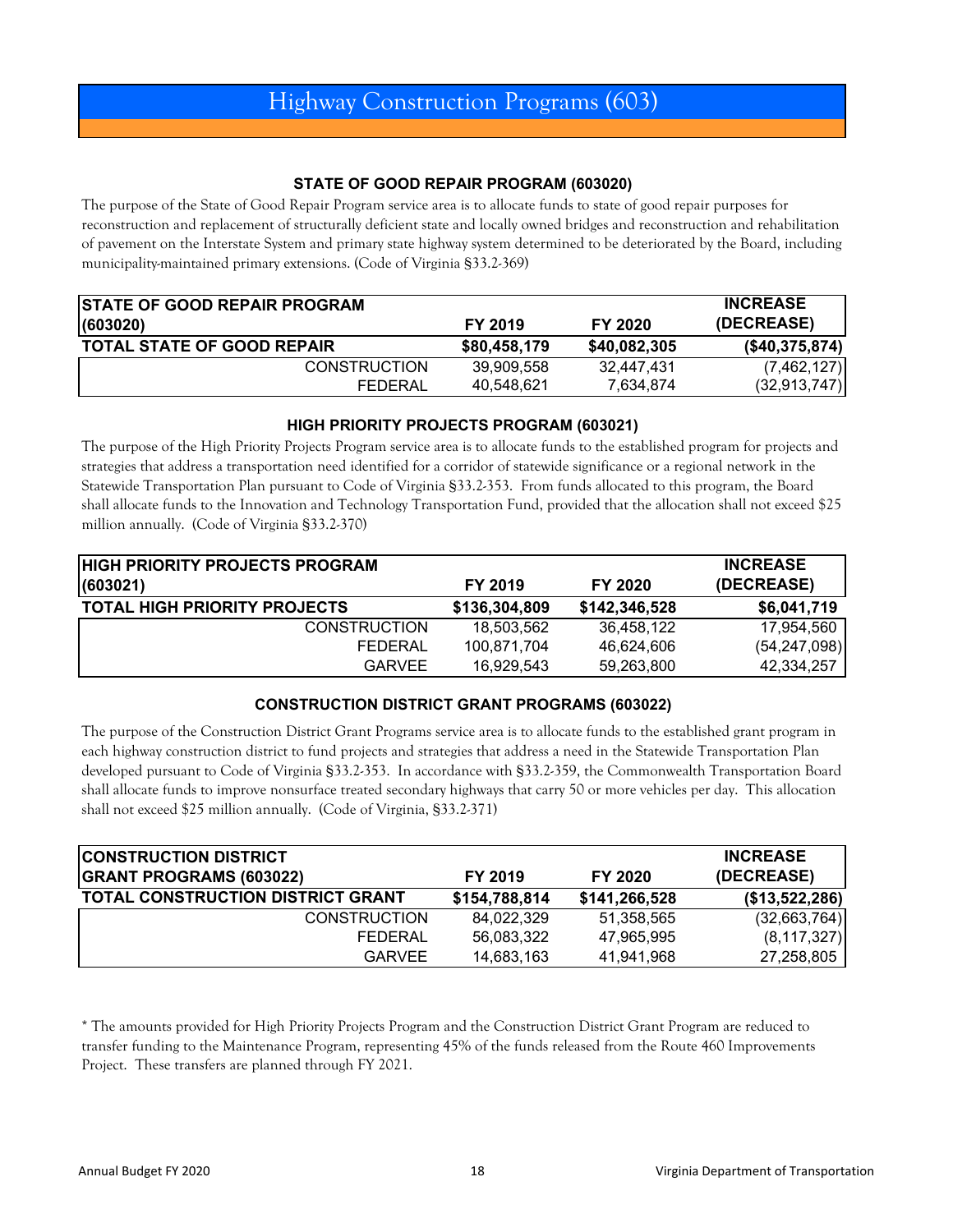## Highway Construction Programs (603)

#### **STATE OF GOOD REPAIR PROGRAM (603020)**

The purpose of the State of Good Repair Program service area is to allocate funds to state of good repair purposes for reconstruction and replacement of structurally deficient state and locally owned bridges and reconstruction and rehabilitation of pavement on the Interstate System and primary state highway system determined to be deteriorated by the Board, including municipality-maintained primary extensions. (Code of Virginia §33.2-369)

| <b>ISTATE OF GOOD REPAIR PROGRAM</b> |              |              | <b>INCREASE</b> |
|--------------------------------------|--------------|--------------|-----------------|
| (603020)                             | FY 2019      | FY 2020      | (DECREASE)      |
| <b>TOTAL STATE OF GOOD REPAIR</b>    | \$80,458,179 | \$40,082,305 | (\$40,375,874)  |
| <b>CONSTRUCTION</b>                  | 39,909,558   | 32,447,431   | (7,462,127)     |
| FEDERAL                              | 40,548,621   | 7,634,874    | (32, 913, 747)  |

#### **HIGH PRIORITY PROJECTS PROGRAM (603021)**

The purpose of the High Priority Projects Program service area is to allocate funds to the established program for projects and strategies that address a transportation need identified for a corridor of statewide significance or a regional network in the Statewide Transportation Plan pursuant to Code of Virginia §33.2-353. From funds allocated to this program, the Board shall allocate funds to the Innovation and Technology Transportation Fund, provided that the allocation shall not exceed \$25 million annually. (Code of Virginia §33.2-370)

| <b>HIGH PRIORITY PROJECTS PROGRAM</b> |               |               | <b>INCREASE</b> |
|---------------------------------------|---------------|---------------|-----------------|
| (603021)                              | FY 2019       | FY 2020       | (DECREASE)      |
| <b>TOTAL HIGH PRIORITY PROJECTS</b>   | \$136,304,809 | \$142,346,528 | \$6,041,719     |
| <b>CONSTRUCTION</b>                   | 18.503.562    | 36,458,122    | 17,954,560      |
| <b>FEDERAL</b>                        | 100,871,704   | 46,624,606    | (54, 247, 098)  |
| <b>GARVEE</b>                         | 16.929.543    | 59,263,800    | 42,334,257      |

#### **CONSTRUCTION DISTRICT GRANT PROGRAMS (603022)**

The purpose of the Construction District Grant Programs service area is to allocate funds to the established grant program in each highway construction district to fund projects and strategies that address a need in the Statewide Transportation Plan developed pursuant to Code of Virginia §33.2-353. In accordance with §33.2-359, the Commonwealth Transportation Board shall allocate funds to improve nonsurface treated secondary highways that carry 50 or more vehicles per day. This allocation shall not exceed \$25 million annually. (Code of Virginia, §33.2-371)

| <b>CONSTRUCTION DISTRICT</b>             |               |               | <b>INCREASE</b> |
|------------------------------------------|---------------|---------------|-----------------|
| <b>GRANT PROGRAMS (603022)</b>           | FY 2019       | FY 2020       | (DECREASE)      |
| <b>TOTAL CONSTRUCTION DISTRICT GRANT</b> | \$154,788,814 | \$141,266,528 | (\$13,522,286)  |
| <b>CONSTRUCTION</b>                      | 84.022.329    | 51,358,565    | (32,663,764)    |
| FEDERAL                                  | 56,083,322    | 47,965,995    | (8, 117, 327)   |
| <b>GARVEE</b>                            | 14,683,163    | 41,941,968    | 27,258,805      |

\* The amounts provided for High Priority Projects Program and the Construction District Grant Program are reduced to transfer funding to the Maintenance Program, representing 45% of the funds released from the Route 460 Improvements Project. These transfers are planned through FY 2021.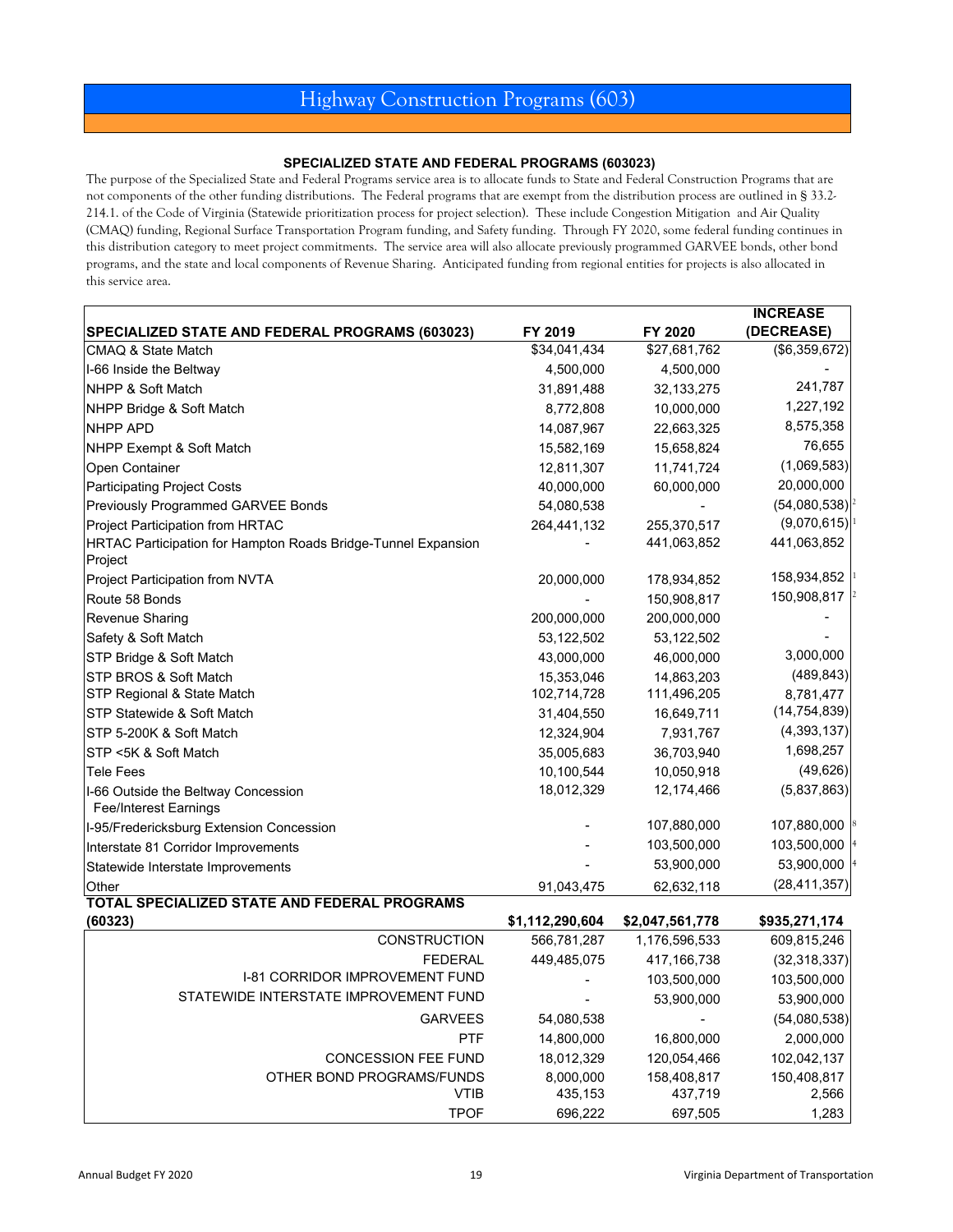### Highway Construction Programs (603)

#### **SPECIALIZED STATE AND FEDERAL PROGRAMS (603023)**

The purpose of the Specialized State and Federal Programs service area is to allocate funds to State and Federal Construction Programs that are not components of the other funding distributions. The Federal programs that are exempt from the distribution process are outlined in § 33.2- 214.1. of the Code of Virginia (Statewide prioritization process for project selection). These include Congestion Mitigation and Air Quality (CMAQ) funding, Regional Surface Transportation Program funding, and Safety funding. Through FY 2020, some federal funding continues in this distribution category to meet project commitments. The service area will also allocate previously programmed GARVEE bonds, other bond programs, and the state and local components of Revenue Sharing. Anticipated funding from regional entities for projects is also allocated in this service area.

|                                                                                 |                      |                        | <b>INCREASE</b>      |
|---------------------------------------------------------------------------------|----------------------|------------------------|----------------------|
| SPECIALIZED STATE AND FEDERAL PROGRAMS (603023)                                 | FY 2019              | FY 2020                | (DECREASE)           |
| CMAQ & State Match                                                              | \$34,041,434         | \$27,681,762           | (\$6,359,672)        |
| I-66 Inside the Beltway                                                         | 4,500,000            | 4,500,000              |                      |
| NHPP & Soft Match                                                               | 31,891,488           | 32, 133, 275           | 241,787              |
| NHPP Bridge & Soft Match                                                        | 8,772,808            | 10,000,000             | 1,227,192            |
| <b>NHPP APD</b>                                                                 | 14,087,967           | 22,663,325             | 8,575,358            |
| NHPP Exempt & Soft Match                                                        | 15,582,169           | 15,658,824             | 76,655               |
| Open Container                                                                  | 12,811,307           | 11,741,724             | (1,069,583)          |
| <b>Participating Project Costs</b>                                              | 40,000,000           | 60,000,000             | 20,000,000           |
| Previously Programmed GARVEE Bonds                                              | 54,080,538           |                        | (54,080,538)         |
| Project Participation from HRTAC                                                | 264,441,132          | 255,370,517            | (9,070,615)          |
| <b>HRTAC Participation for Hampton Roads Bridge-Tunnel Expansion</b><br>Project |                      | 441,063,852            | 441,063,852          |
| Project Participation from NVTA                                                 | 20,000,000           | 178,934,852            | 158,934,852          |
| Route 58 Bonds                                                                  |                      | 150,908,817            | 150,908,817          |
| <b>Revenue Sharing</b>                                                          | 200,000,000          | 200,000,000            |                      |
| Safety & Soft Match                                                             | 53,122,502           | 53,122,502             |                      |
| STP Bridge & Soft Match                                                         | 43,000,000           | 46,000,000             | 3,000,000            |
| STP BROS & Soft Match                                                           | 15,353,046           | 14,863,203             | (489, 843)           |
| STP Regional & State Match                                                      | 102,714,728          | 111,496,205            | 8,781,477            |
| STP Statewide & Soft Match                                                      | 31,404,550           | 16,649,711             | (14, 754, 839)       |
| STP 5-200K & Soft Match                                                         | 12,324,904           | 7,931,767              | (4, 393, 137)        |
| STP <5K & Soft Match                                                            | 35,005,683           | 36,703,940             | 1,698,257            |
| <b>Tele Fees</b>                                                                | 10,100,544           | 10,050,918             | (49, 626)            |
| I-66 Outside the Beltway Concession<br><b>Fee/Interest Earnings</b>             | 18,012,329           | 12,174,466             | (5,837,863)          |
| I-95/Fredericksburg Extension Concession                                        |                      | 107,880,000            | 107,880,000          |
| Interstate 81 Corridor Improvements                                             |                      | 103,500,000            | 103,500,000          |
| Statewide Interstate Improvements                                               |                      | 53,900,000             | 53,900,000           |
| Other                                                                           | 91,043,475           | 62,632,118             | (28, 411, 357)       |
| TOTAL SPECIALIZED STATE AND FEDERAL PROGRAMS                                    |                      |                        |                      |
| (60323)                                                                         | \$1,112,290,604      | \$2,047,561,778        | \$935,271,174        |
| <b>CONSTRUCTION</b>                                                             | 566,781,287          | 1,176,596,533          | 609,815,246          |
| <b>FEDERAL</b>                                                                  | 449,485,075          | 417,166,738            | (32, 318, 337)       |
| <b>I-81 CORRIDOR IMPROVEMENT FUND</b>                                           |                      | 103,500,000            | 103,500,000          |
| STATEWIDE INTERSTATE IMPROVEMENT FUND                                           |                      | 53,900,000             | 53,900,000           |
| <b>GARVEES</b>                                                                  | 54,080,538           |                        | (54,080,538)         |
| <b>PTF</b>                                                                      | 14,800,000           | 16,800,000             | 2,000,000            |
| <b>CONCESSION FEE FUND</b>                                                      | 18,012,329           | 120,054,466            | 102,042,137          |
| OTHER BOND PROGRAMS/FUNDS<br><b>VTIB</b>                                        | 8,000,000<br>435,153 | 158,408,817<br>437,719 | 150,408,817<br>2,566 |

697,505 696,222 1,283

TPOF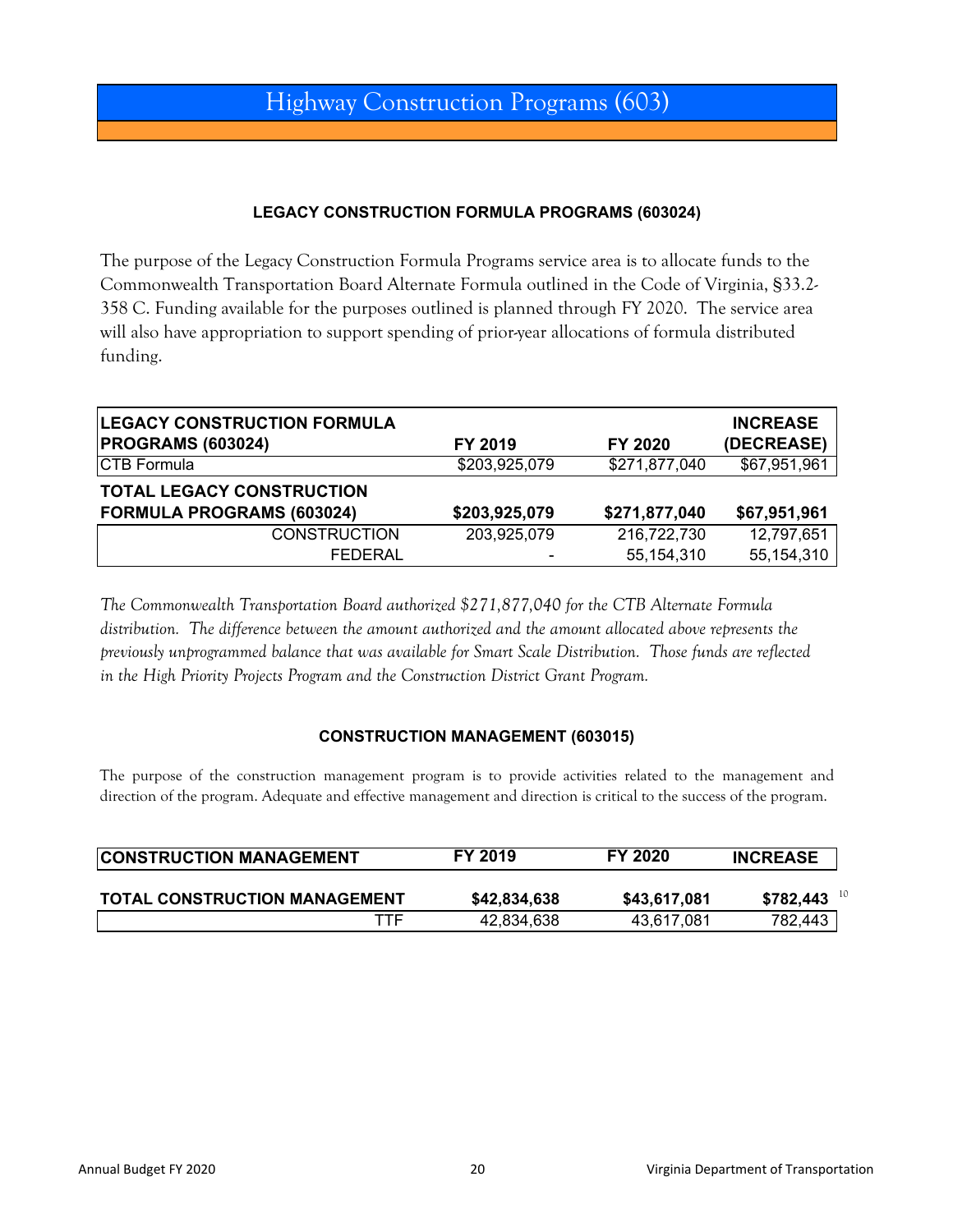### **LEGACY CONSTRUCTION FORMULA PROGRAMS (603024)**

The purpose of the Legacy Construction Formula Programs service area is to allocate funds to the Commonwealth Transportation Board Alternate Formula outlined in the Code of Virginia, §33.2- 358 C. Funding available for the purposes outlined is planned through FY 2020. The service area will also have appropriation to support spending of prior-year allocations of formula distributed funding.

| <b>LEGACY CONSTRUCTION FORMULA</b> |               |               | <b>INCREASE</b> |
|------------------------------------|---------------|---------------|-----------------|
| <b>PROGRAMS (603024)</b>           | FY 2019       | FY 2020       | (DECREASE)      |
| <b>CTB</b> Formula                 | \$203,925,079 | \$271,877,040 | \$67,951,961    |
| <b>TOTAL LEGACY CONSTRUCTION</b>   |               |               |                 |
| <b>FORMULA PROGRAMS (603024)</b>   | \$203,925,079 | \$271,877,040 | \$67,951,961    |
| <b>CONSTRUCTION</b>                | 203,925,079   | 216,722,730   | 12,797,651      |
| <b>FEDERAL</b>                     |               | 55,154,310    | 55,154,310      |

*The Commonwealth Transportation Board authorized \$271,877,040 for the CTB Alternate Formula distribution. The difference between the amount authorized and the amount allocated above represents the previously unprogrammed balance that was available for Smart Scale Distribution. Those funds are reflected in the High Priority Projects Program and the Construction District Grant Program.*

#### **CONSTRUCTION MANAGEMENT (603015)**

The purpose of the construction management program is to provide activities related to the management and direction of the program. Adequate and effective management and direction is critical to the success of the program.

| <b>CONSTRUCTION MANAGEMENT</b>       | FY 2019      | FY 2020      | <b>INCREASE</b>   |
|--------------------------------------|--------------|--------------|-------------------|
| <b>TOTAL CONSTRUCTION MANAGEMENT</b> | \$42,834,638 | \$43,617,081 | - 10<br>\$782,443 |
| TTF                                  | 42,834,638   | 43,617,081   | 782,443           |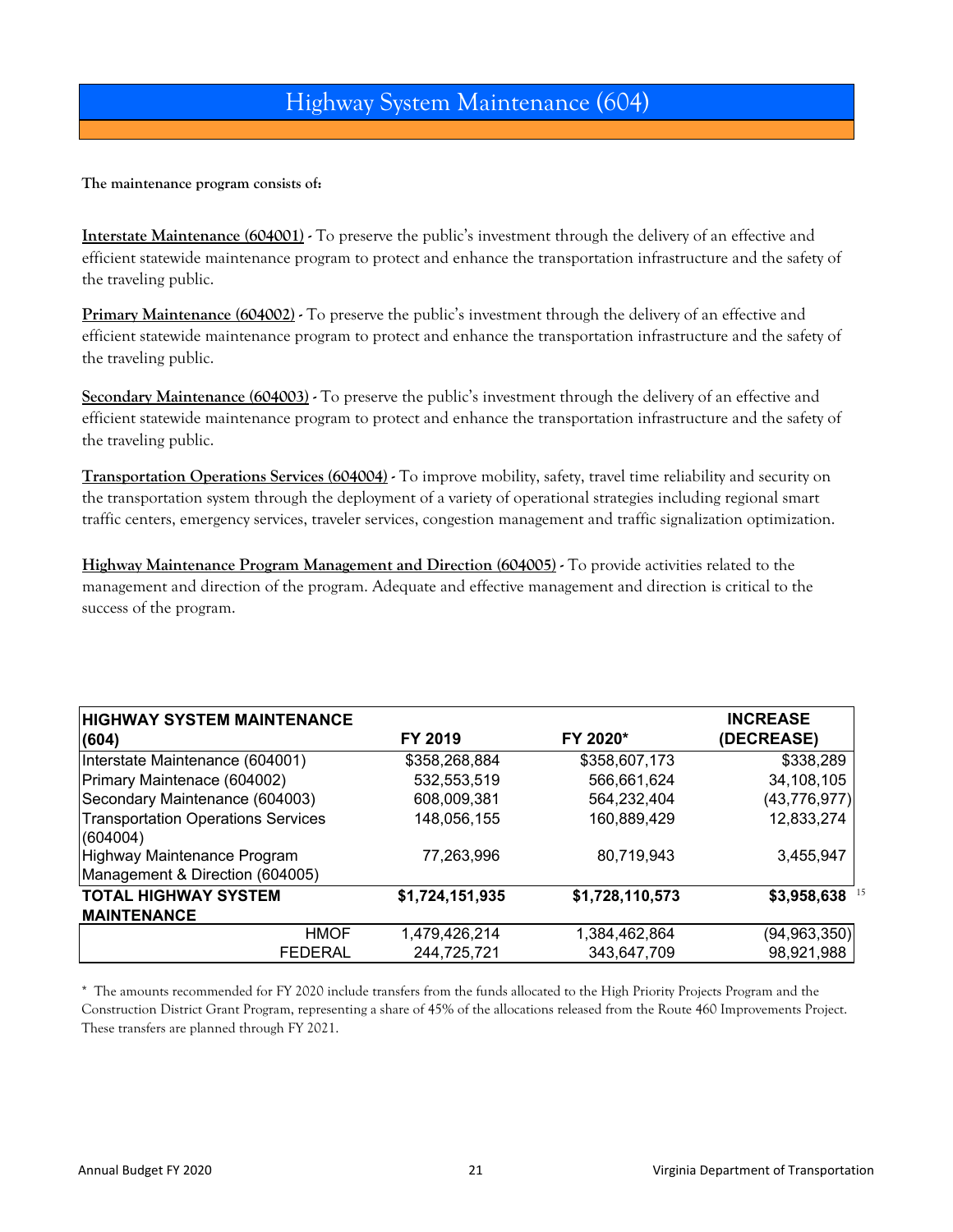**The maintenance program consists of:**

**Interstate Maintenance (604001) -** To preserve the public's investment through the delivery of an effective and efficient statewide maintenance program to protect and enhance the transportation infrastructure and the safety of the traveling public.

**Primary Maintenance (604002) -** To preserve the public's investment through the delivery of an effective and efficient statewide maintenance program to protect and enhance the transportation infrastructure and the safety of the traveling public.

**Secondary Maintenance (604003) -** To preserve the public's investment through the delivery of an effective and efficient statewide maintenance program to protect and enhance the transportation infrastructure and the safety of the traveling public.

**Transportation Operations Services (604004) -** To improve mobility, safety, travel time reliability and security on the transportation system through the deployment of a variety of operational strategies including regional smart traffic centers, emergency services, traveler services, congestion management and traffic signalization optimization.

**Highway Maintenance Program Management and Direction (604005) -** To provide activities related to the management and direction of the program. Adequate and effective management and direction is critical to the success of the program.

| <b>HIGHWAY SYSTEM MAINTENANCE</b>  |                 |                 | <b>INCREASE</b>   |
|------------------------------------|-----------------|-----------------|-------------------|
| (604)                              | FY 2019         | FY 2020*        | (DECREASE)        |
| Interstate Maintenance (604001)    | \$358,268,884   | \$358,607,173   | \$338,289         |
| Primary Maintenace (604002)        | 532,553,519     | 566,661,624     | 34,108,105        |
| Secondary Maintenance (604003)     | 608,009,381     | 564,232,404     | (43, 776, 977)    |
| Transportation Operations Services | 148.056.155     | 160,889,429     | 12,833,274        |
| (604004)                           |                 |                 |                   |
| Highway Maintenance Program        | 77,263,996      | 80,719,943      | 3,455,947         |
| Management & Direction (604005)    |                 |                 |                   |
| <b>TOTAL HIGHWAY SYSTEM</b>        | \$1,724,151,935 | \$1,728,110,573 | \$3,958,638<br>15 |
| <b>MAINTENANCE</b>                 |                 |                 |                   |
| <b>HMOF</b>                        | 1,479,426,214   | 1,384,462,864   | (94, 963, 350)    |
| <b>FEDERAL</b>                     | 244,725,721     | 343,647,709     | 98,921,988        |

\* The amounts recommended for FY 2020 include transfers from the funds allocated to the High Priority Projects Program and the Construction District Grant Program, representing a share of 45% of the allocations released from the Route 460 Improvements Project. These transfers are planned through FY 2021.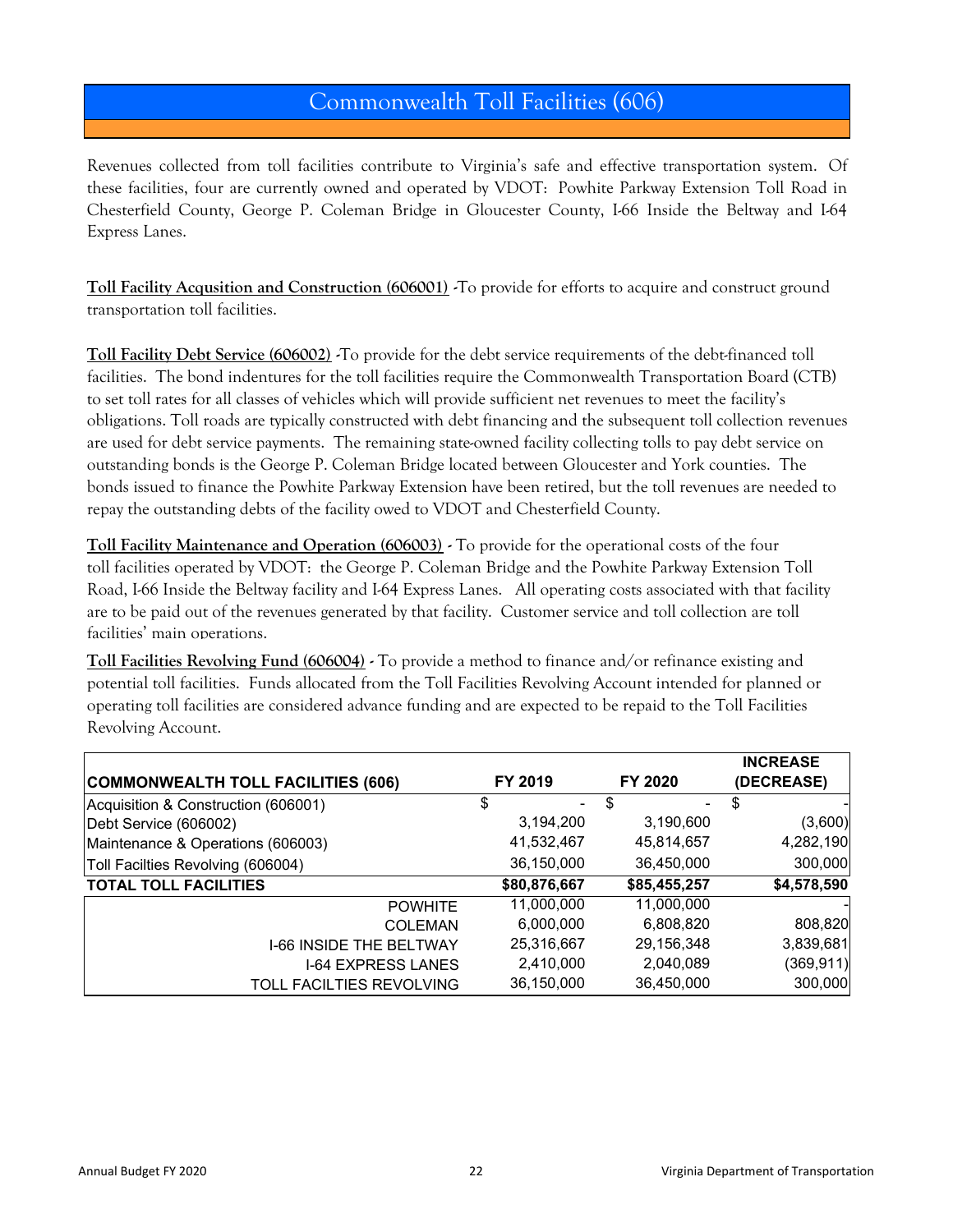### Commonwealth Toll Facilities (606)

Revenues collected from toll facilities contribute to Virginia's safe and effective transportation system. Of these facilities, four are currently owned and operated by VDOT: Powhite Parkway Extension Toll Road in Chesterfield County, George P. Coleman Bridge in Gloucester County, I-66 Inside the Beltway and I-64 Express Lanes.

**Toll Facility Acqusition and Construction (606001) -**To provide for efforts to acquire and construct ground transportation toll facilities.

**Toll Facility Debt Service (606002) -**To provide for the debt service requirements of the debt-financed toll facilities. The bond indentures for the toll facilities require the Commonwealth Transportation Board (CTB) to set toll rates for all classes of vehicles which will provide sufficient net revenues to meet the facility's obligations. Toll roads are typically constructed with debt financing and the subsequent toll collection revenues are used for debt service payments. The remaining state-owned facility collecting tolls to pay debt service on outstanding bonds is the George P. Coleman Bridge located between Gloucester and York counties. The bonds issued to finance the Powhite Parkway Extension have been retired, but the toll revenues are needed to repay the outstanding debts of the facility owed to VDOT and Chesterfield County.

**Toll Facility Maintenance and Operation (606003) -** To provide for the operational costs of the four toll facilities operated by VDOT: the George P. Coleman Bridge and the Powhite Parkway Extension Toll Road, I-66 Inside the Beltway facility and I-64 Express Lanes. All operating costs associated with that facility are to be paid out of the revenues generated by that facility. Customer service and toll collection are toll facilities' main operations.

**Toll Facilities Revolving Fund (606004) -** To provide a method to finance and/or refinance existing and potential toll facilities. Funds allocated from the Toll Facilities Revolving Account intended for planned or operating toll facilities are considered advance funding and are expected to be repaid to the Toll Facilities Revolving Account.

| <b>COMMONWEALTH TOLL FACILITIES (606)</b> | FY 2019      | FY 2020      | <b>INCREASE</b><br>(DECREASE) |
|-------------------------------------------|--------------|--------------|-------------------------------|
| Acquisition & Construction (606001)       | \$<br>۰      | S<br>۰       | S                             |
| Debt Service (606002)                     | 3,194,200    | 3,190,600    | (3,600)                       |
| Maintenance & Operations (606003)         | 41,532,467   | 45,814,657   | 4,282,190                     |
| Toll Facilties Revolving (606004)         | 36,150,000   | 36,450,000   | 300,000                       |
| <b>TOTAL TOLL FACILITIES</b>              | \$80,876,667 | \$85,455,257 | \$4,578,590                   |
| <b>POWHITE</b>                            | 11,000,000   | 11,000,000   |                               |
| <b>COLEMAN</b>                            | 6,000,000    | 6,808,820    | 808,820                       |
| <b>I-66 INSIDE THE BELTWAY</b>            | 25,316,667   | 29,156,348   | 3,839,681                     |
| <b>I-64 EXPRESS LANES</b>                 | 2,410,000    | 2,040,089    | (369, 911)                    |
| TOLL FACILTIES REVOLVING                  | 36,150,000   | 36,450,000   | 300,000                       |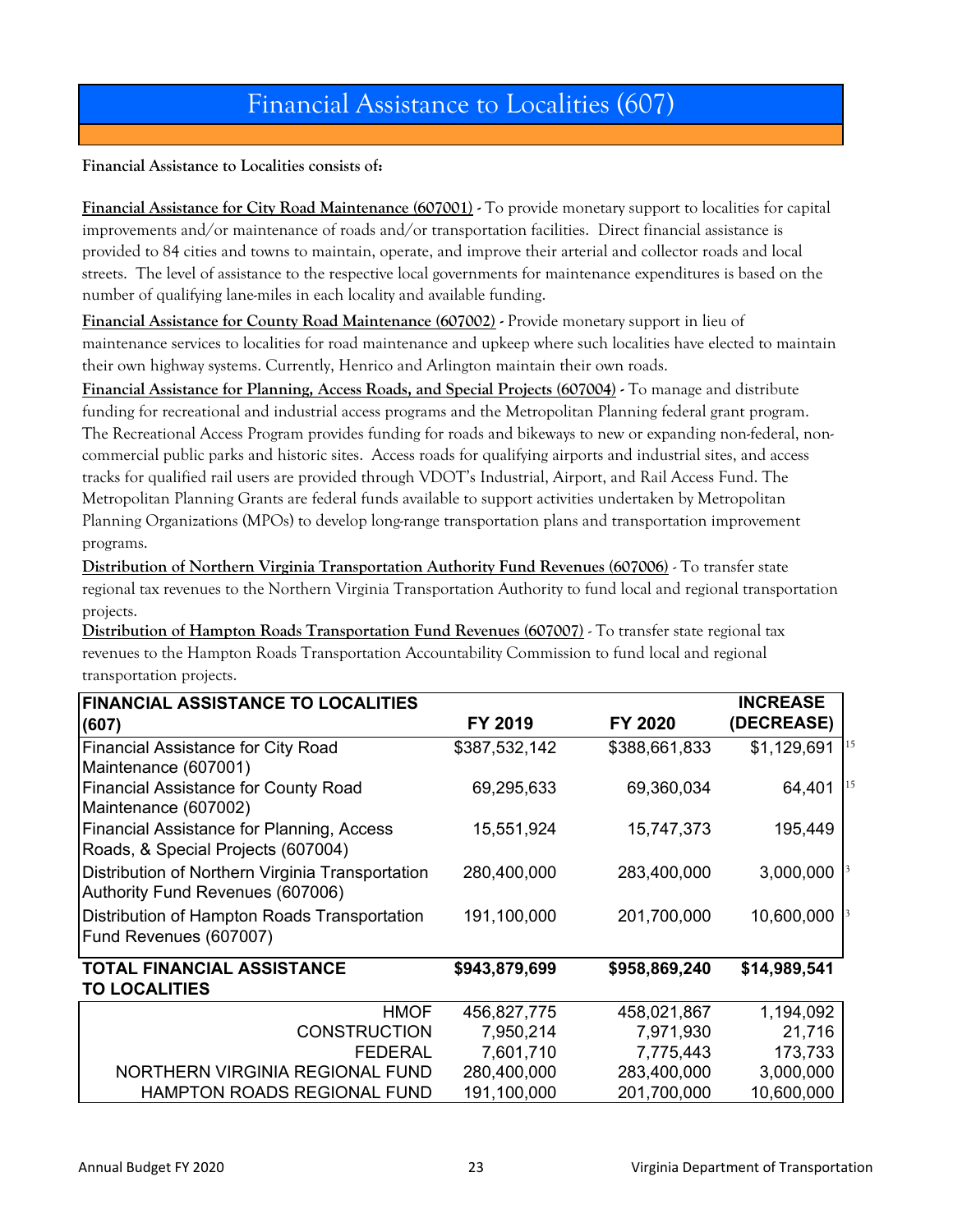## Financial Assistance to Localities (607)

#### **Financial Assistance to Localities consists of:**

**Financial Assistance for City Road Maintenance (607001) -** To provide monetary support to localities for capital improvements and/or maintenance of roads and/or transportation facilities. Direct financial assistance is provided to 84 cities and towns to maintain, operate, and improve their arterial and collector roads and local streets. The level of assistance to the respective local governments for maintenance expenditures is based on the number of qualifying lane-miles in each locality and available funding.

**Financial Assistance for County Road Maintenance (607002) -** Provide monetary support in lieu of maintenance services to localities for road maintenance and upkeep where such localities have elected to maintain their own highway systems. Currently, Henrico and Arlington maintain their own roads.

**Financial Assistance for Planning, Access Roads, and Special Projects (607004) -** To manage and distribute funding for recreational and industrial access programs and the Metropolitan Planning federal grant program. The Recreational Access Program provides funding for roads and bikeways to new or expanding non-federal, noncommercial public parks and historic sites. Access roads for qualifying airports and industrial sites, and access tracks for qualified rail users are provided through VDOT's Industrial, Airport, and Rail Access Fund. The Metropolitan Planning Grants are federal funds available to support activities undertaken by Metropolitan Planning Organizations (MPOs) to develop long-range transportation plans and transportation improvement programs.

**Distribution of Northern Virginia Transportation Authority Fund Revenues (607006)** - To transfer state regional tax revenues to the Northern Virginia Transportation Authority to fund local and regional transportation projects.

**Distribution of Hampton Roads Transportation Fund Revenues (607007)** - To transfer state regional tax revenues to the Hampton Roads Transportation Accountability Commission to fund local and regional transportation projects.

| <b>FINANCIAL ASSISTANCE TO LOCALITIES</b>        |               |               | <b>INCREASE</b>   |
|--------------------------------------------------|---------------|---------------|-------------------|
| (607)                                            | FY 2019       | FY 2020       | (DECREASE)        |
| <b>Financial Assistance for City Road</b>        | \$387,532,142 | \$388,661,833 | \$1,129,691<br>15 |
| Maintenance (607001)                             |               |               |                   |
| <b>Financial Assistance for County Road</b>      | 69,295,633    | 69,360,034    | 64,401<br>15      |
| Maintenance (607002)                             |               |               |                   |
| <b>Financial Assistance for Planning, Access</b> | 15,551,924    | 15,747,373    | 195,449           |
| Roads, & Special Projects (607004)               |               |               |                   |
| Distribution of Northern Virginia Transportation | 280,400,000   | 283,400,000   | 3,000,000         |
| Authority Fund Revenues (607006)                 |               |               |                   |
| Distribution of Hampton Roads Transportation     | 191,100,000   | 201,700,000   | 10,600,000        |
| Fund Revenues (607007)                           |               |               |                   |
| <b>TOTAL FINANCIAL ASSISTANCE</b>                | \$943,879,699 | \$958,869,240 | \$14,989,541      |
| <b>TO LOCALITIES</b>                             |               |               |                   |
| <b>HMOF</b>                                      | 456,827,775   | 458,021,867   | 1,194,092         |
| <b>CONSTRUCTION</b>                              | 7,950,214     | 7,971,930     | 21,716            |
| <b>FEDERAL</b>                                   | 7,601,710     | 7,775,443     | 173,733           |
| NORTHERN VIRGINIA REGIONAL FUND                  | 280,400,000   | 283,400,000   | 3,000,000         |
| HAMPTON ROADS REGIONAL FUND                      | 191,100,000   | 201,700,000   | 10,600,000        |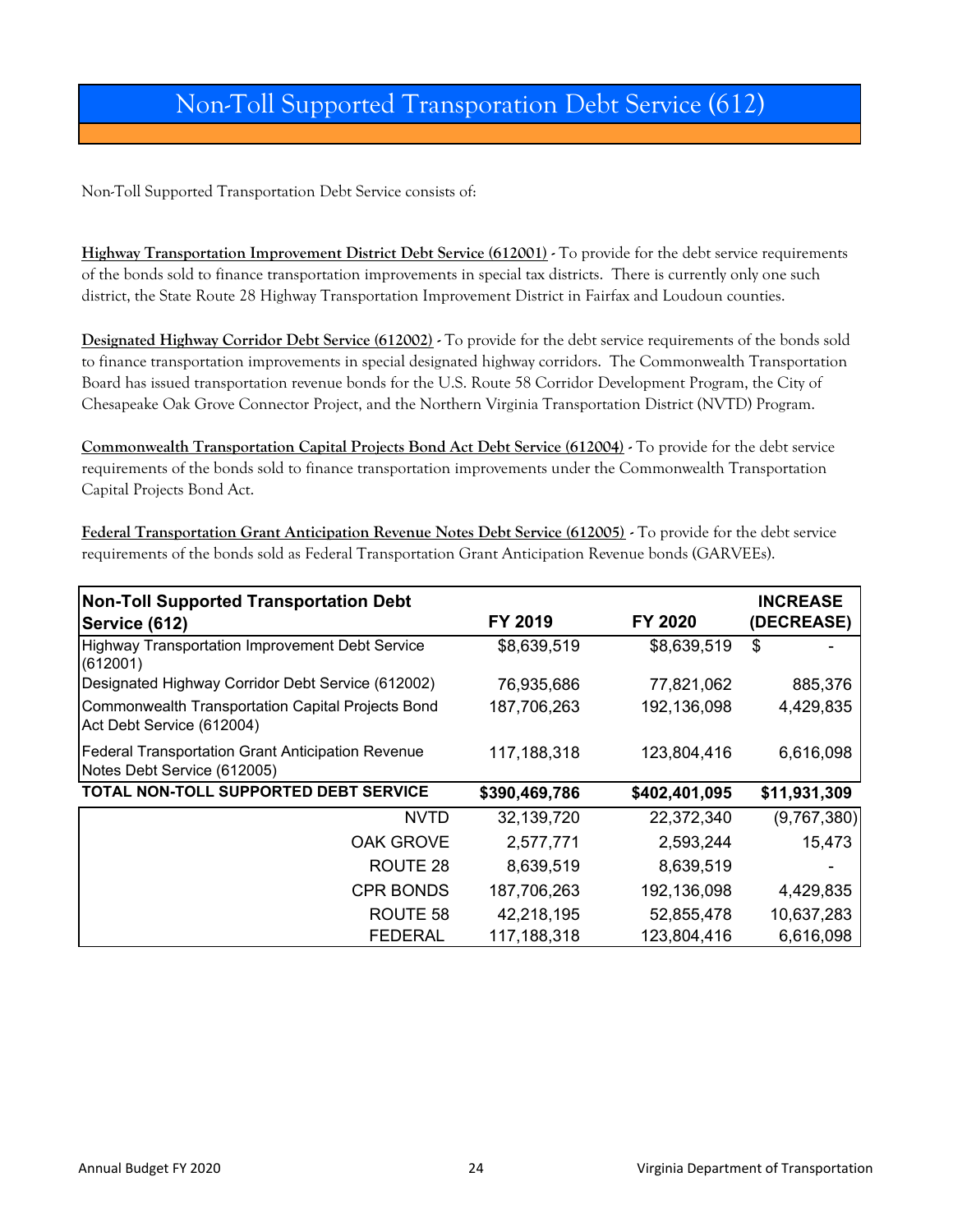## Non-Toll Supported Transporation Debt Service (612)

Non-Toll Supported Transportation Debt Service consists of:

**Highway Transportation Improvement District Debt Service (612001) -** To provide for the debt service requirements of the bonds sold to finance transportation improvements in special tax districts. There is currently only one such district, the State Route 28 Highway Transportation Improvement District in Fairfax and Loudoun counties.

**Designated Highway Corridor Debt Service (612002) -** To provide for the debt service requirements of the bonds sold to finance transportation improvements in special designated highway corridors. The Commonwealth Transportation Board has issued transportation revenue bonds for the U.S. Route 58 Corridor Development Program, the City of Chesapeake Oak Grove Connector Project, and the Northern Virginia Transportation District (NVTD) Program.

**Commonwealth Transportation Capital Projects Bond Act Debt Service (612004) -** To provide for the debt service requirements of the bonds sold to finance transportation improvements under the Commonwealth Transportation Capital Projects Bond Act.

**Federal Transportation Grant Anticipation Revenue Notes Debt Service (612005) -** To provide for the debt service requirements of the bonds sold as Federal Transportation Grant Anticipation Revenue bonds (GARVEEs).

| <b>Non-Toll Supported Transportation Debt</b><br>Service (612)                          | FY 2019       | FY 2020       | <b>INCREASE</b><br>(DECREASE) |
|-----------------------------------------------------------------------------------------|---------------|---------------|-------------------------------|
| <b>Highway Transportation Improvement Debt Service</b><br>(612001)                      | \$8,639,519   | \$8,639,519   | \$                            |
| Designated Highway Corridor Debt Service (612002)                                       | 76,935,686    | 77,821,062    | 885,376                       |
| Commonwealth Transportation Capital Projects Bond<br>Act Debt Service (612004)          | 187,706,263   | 192,136,098   | 4,429,835                     |
| <b>Federal Transportation Grant Anticipation Revenue</b><br>Notes Debt Service (612005) | 117,188,318   | 123,804,416   | 6,616,098                     |
| TOTAL NON-TOLL SUPPORTED DEBT SERVICE                                                   | \$390,469,786 | \$402,401,095 | \$11,931,309                  |
| <b>NVTD</b>                                                                             | 32,139,720    | 22,372,340    | (9,767,380)                   |
| <b>OAK GROVE</b>                                                                        | 2,577,771     | 2,593,244     | 15,473                        |
| ROUTE 28                                                                                | 8,639,519     | 8,639,519     |                               |
| <b>CPR BONDS</b>                                                                        | 187,706,263   | 192,136,098   | 4,429,835                     |
| ROUTE 58                                                                                | 42,218,195    | 52,855,478    | 10,637,283                    |
| <b>FEDERAL</b>                                                                          | 117,188,318   | 123,804,416   | 6,616,098                     |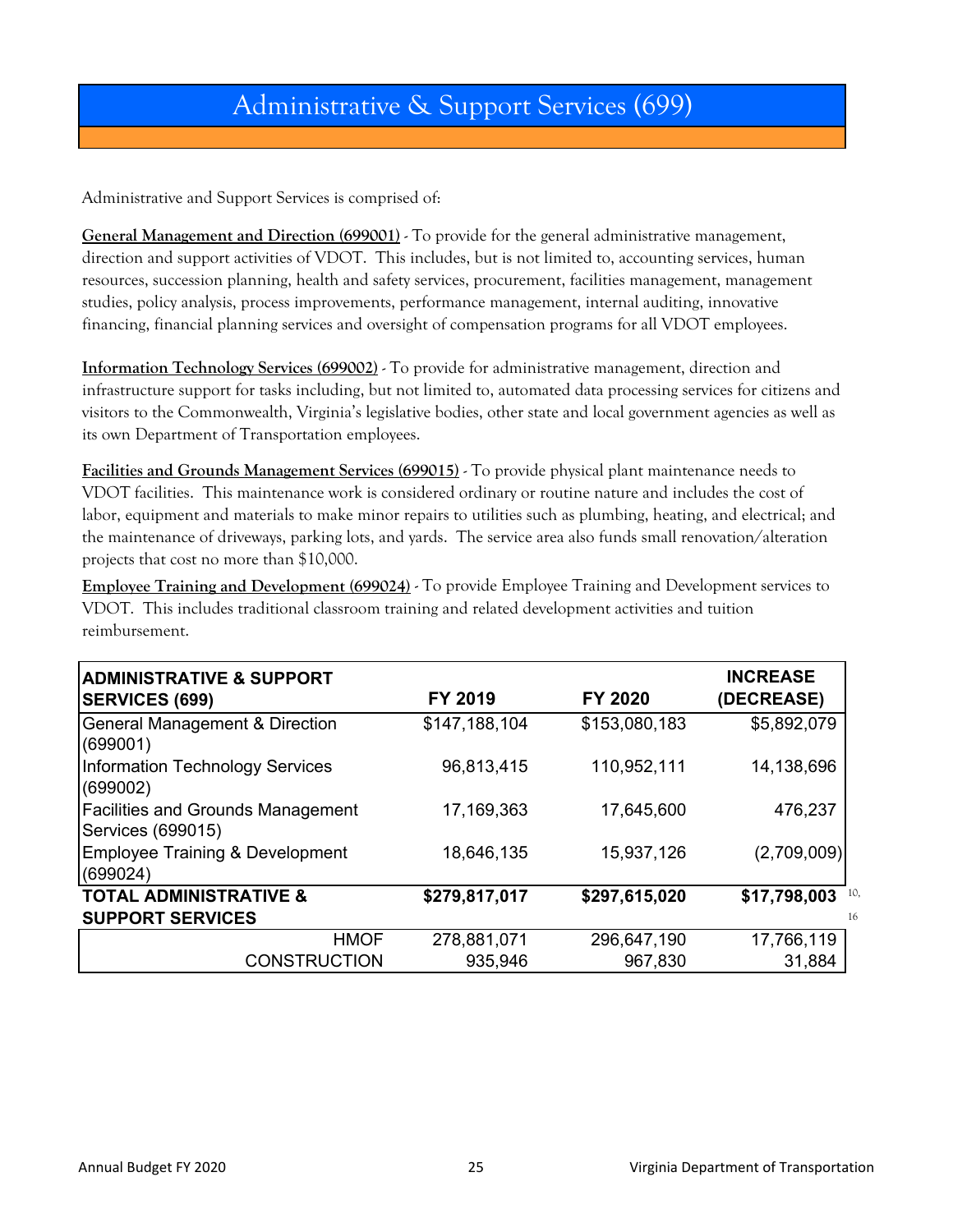Administrative and Support Services is comprised of:

**General Management and Direction (699001)** - To provide for the general administrative management, direction and support activities of VDOT. This includes, but is not limited to, accounting services, human resources, succession planning, health and safety services, procurement, facilities management, management studies, policy analysis, process improvements, performance management, internal auditing, innovative financing, financial planning services and oversight of compensation programs for all VDOT employees.

**Information Technology Services (699002)** - To provide for administrative management, direction and infrastructure support for tasks including, but not limited to, automated data processing services for citizens and visitors to the Commonwealth, Virginia's legislative bodies, other state and local government agencies as well as its own Department of Transportation employees.

**Facilities and Grounds Management Services (699015)** - To provide physical plant maintenance needs to VDOT facilities. This maintenance work is considered ordinary or routine nature and includes the cost of labor, equipment and materials to make minor repairs to utilities such as plumbing, heating, and electrical; and the maintenance of driveways, parking lots, and yards. The service area also funds small renovation/alteration projects that cost no more than \$10,000.

**Employee Training and Development (699024)** - To provide Employee Training and Development services to VDOT. This includes traditional classroom training and related development activities and tuition reimbursement.

| <b>ADMINISTRATIVE &amp; SUPPORT</b><br><b>SERVICES (699)</b>  | FY 2019       | FY 2020       | <b>INCREASE</b><br>(DECREASE) |
|---------------------------------------------------------------|---------------|---------------|-------------------------------|
| <b>General Management &amp; Direction</b><br>(699001)         | \$147,188,104 | \$153,080,183 | \$5,892,079                   |
| Information Technology Services<br>(699002)                   | 96,813,415    | 110,952,111   | 14,138,696                    |
| <b>Facilities and Grounds Management</b><br>Services (699015) | 17,169,363    | 17,645,600    | 476,237                       |
| <b>Employee Training &amp; Development</b><br>(699024)        | 18,646,135    | 15,937,126    | (2,709,009)                   |
| <b>TOTAL ADMINISTRATIVE &amp;</b>                             | \$279,817,017 | \$297,615,020 | \$17,798,003<br>10,           |
| <b>SUPPORT SERVICES</b>                                       |               |               | 16                            |
| <b>HMOF</b>                                                   | 278,881,071   | 296,647,190   | 17,766,119                    |
| <b>CONSTRUCTION</b>                                           | 935,946       | 967,830       | 31,884                        |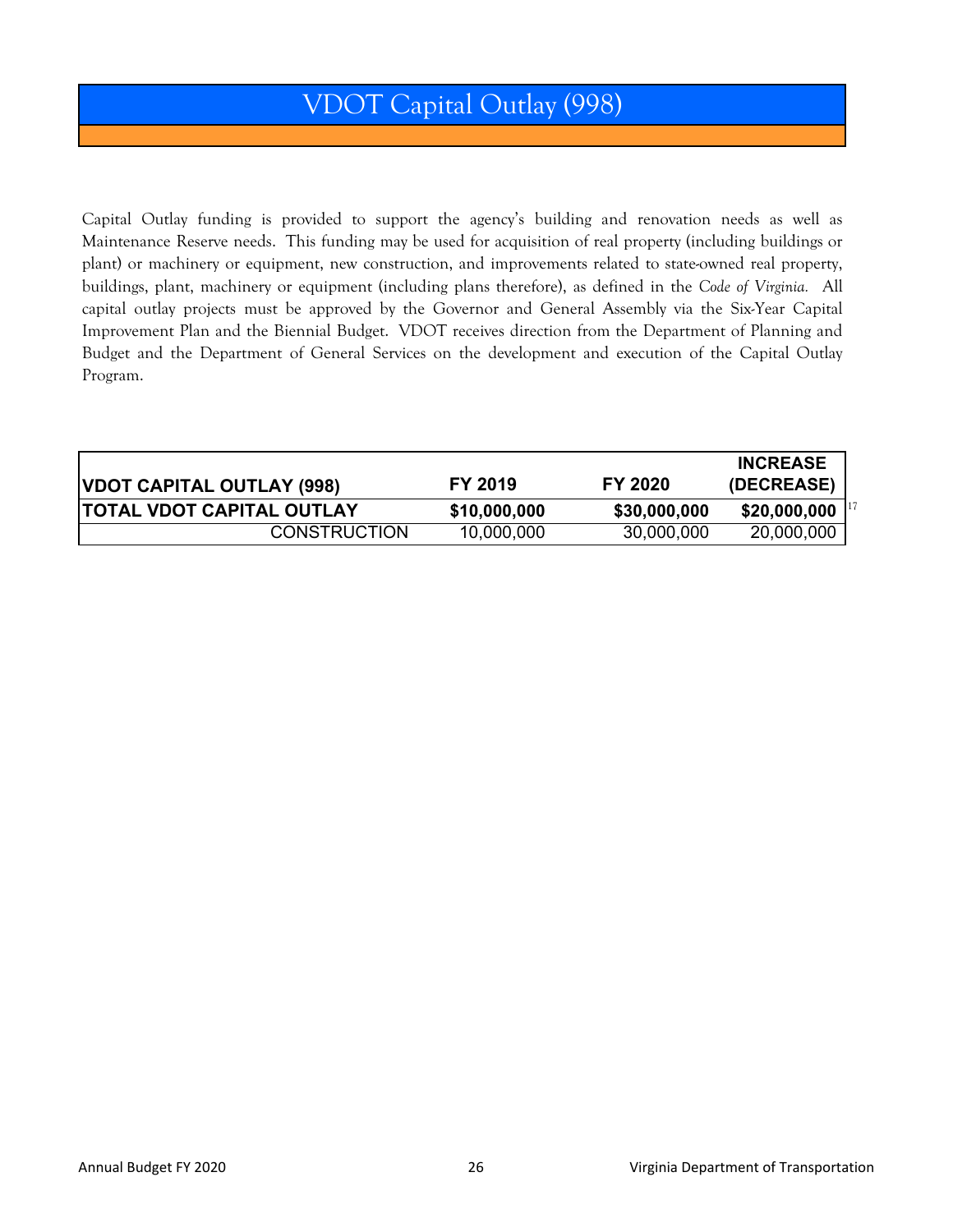Capital Outlay funding is provided to support the agency's building and renovation needs as well as Maintenance Reserve needs. This funding may be used for acquisition of real property (including buildings or plant) or machinery or equipment, new construction, and improvements related to state-owned real property, buildings, plant, machinery or equipment (including plans therefore), as defined in the *Code of Virginia.* All capital outlay projects must be approved by the Governor and General Assembly via the Six-Year Capital Improvement Plan and the Biennial Budget. VDOT receives direction from the Department of Planning and Budget and the Department of General Services on the development and execution of the Capital Outlay Program.

|                                  |              |              | <b>INCREASE</b> |
|----------------------------------|--------------|--------------|-----------------|
| VDOT CAPITAL OUTLAY (998)        | FY 2019      | FY 2020      | (DECREASE)      |
| <b>TOTAL VDOT CAPITAL OUTLAY</b> | \$10,000,000 | \$30,000,000 | \$20,000,000    |
| <b>CONSTRUCTION</b>              | 10,000,000   | 30,000,000   | 20,000,000      |
|                                  |              |              |                 |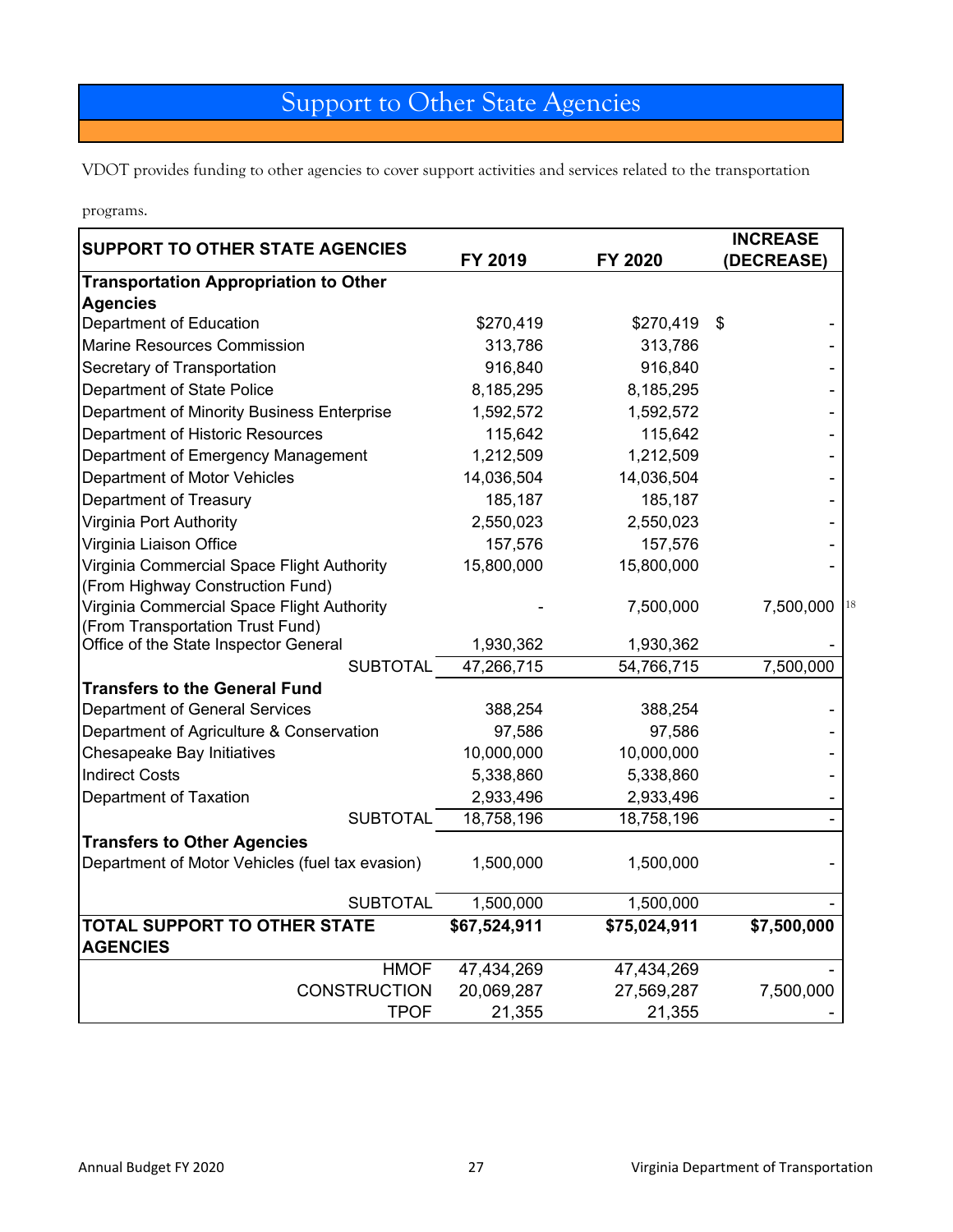## Support to Other State Agencies

VDOT provides funding to other agencies to cover support activities and services related to the transportation

programs.

| <b>SUPPORT TO OTHER STATE AGENCIES</b>          | FY 2019      | FY 2020      | <b>INCREASE</b><br>(DECREASE) |
|-------------------------------------------------|--------------|--------------|-------------------------------|
| <b>Transportation Appropriation to Other</b>    |              |              |                               |
| <b>Agencies</b>                                 |              |              |                               |
| Department of Education                         | \$270,419    | \$270,419    | \$                            |
| <b>Marine Resources Commission</b>              | 313,786      | 313,786      |                               |
| Secretary of Transportation                     | 916,840      | 916,840      |                               |
| <b>Department of State Police</b>               | 8,185,295    | 8,185,295    |                               |
| Department of Minority Business Enterprise      | 1,592,572    | 1,592,572    |                               |
| Department of Historic Resources                | 115,642      | 115,642      |                               |
| Department of Emergency Management              | 1,212,509    | 1,212,509    |                               |
| Department of Motor Vehicles                    | 14,036,504   | 14,036,504   |                               |
| Department of Treasury                          | 185,187      | 185,187      |                               |
| Virginia Port Authority                         | 2,550,023    | 2,550,023    |                               |
| Virginia Liaison Office                         | 157,576      | 157,576      |                               |
| Virginia Commercial Space Flight Authority      | 15,800,000   | 15,800,000   |                               |
| (From Highway Construction Fund)                |              |              |                               |
| Virginia Commercial Space Flight Authority      |              | 7,500,000    | 7,500,000<br>18               |
| (From Transportation Trust Fund)                |              |              |                               |
| Office of the State Inspector General           | 1,930,362    | 1,930,362    |                               |
| <b>SUBTOTAL</b>                                 | 47,266,715   | 54,766,715   | 7,500,000                     |
| <b>Transfers to the General Fund</b>            |              |              |                               |
| <b>Department of General Services</b>           | 388,254      | 388,254      |                               |
| Department of Agriculture & Conservation        | 97,586       | 97,586       |                               |
| Chesapeake Bay Initiatives                      | 10,000,000   | 10,000,000   |                               |
| <b>Indirect Costs</b>                           | 5,338,860    | 5,338,860    |                               |
| Department of Taxation                          | 2,933,496    | 2,933,496    |                               |
| <b>SUBTOTAL</b>                                 | 18,758,196   | 18,758,196   |                               |
| <b>Transfers to Other Agencies</b>              |              |              |                               |
| Department of Motor Vehicles (fuel tax evasion) | 1,500,000    | 1,500,000    |                               |
| <b>SUBTOTAL</b>                                 | 1,500,000    | 1,500,000    |                               |
| <b>TOTAL SUPPORT TO OTHER STATE</b>             | \$67,524,911 | \$75,024,911 | \$7,500,000                   |
| <b>AGENCIES</b>                                 |              |              |                               |
| <b>HMOF</b>                                     | 47,434,269   | 47,434,269   |                               |
| <b>CONSTRUCTION</b>                             | 20,069,287   | 27,569,287   | 7,500,000                     |
| <b>TPOF</b>                                     | 21,355       | 21,355       |                               |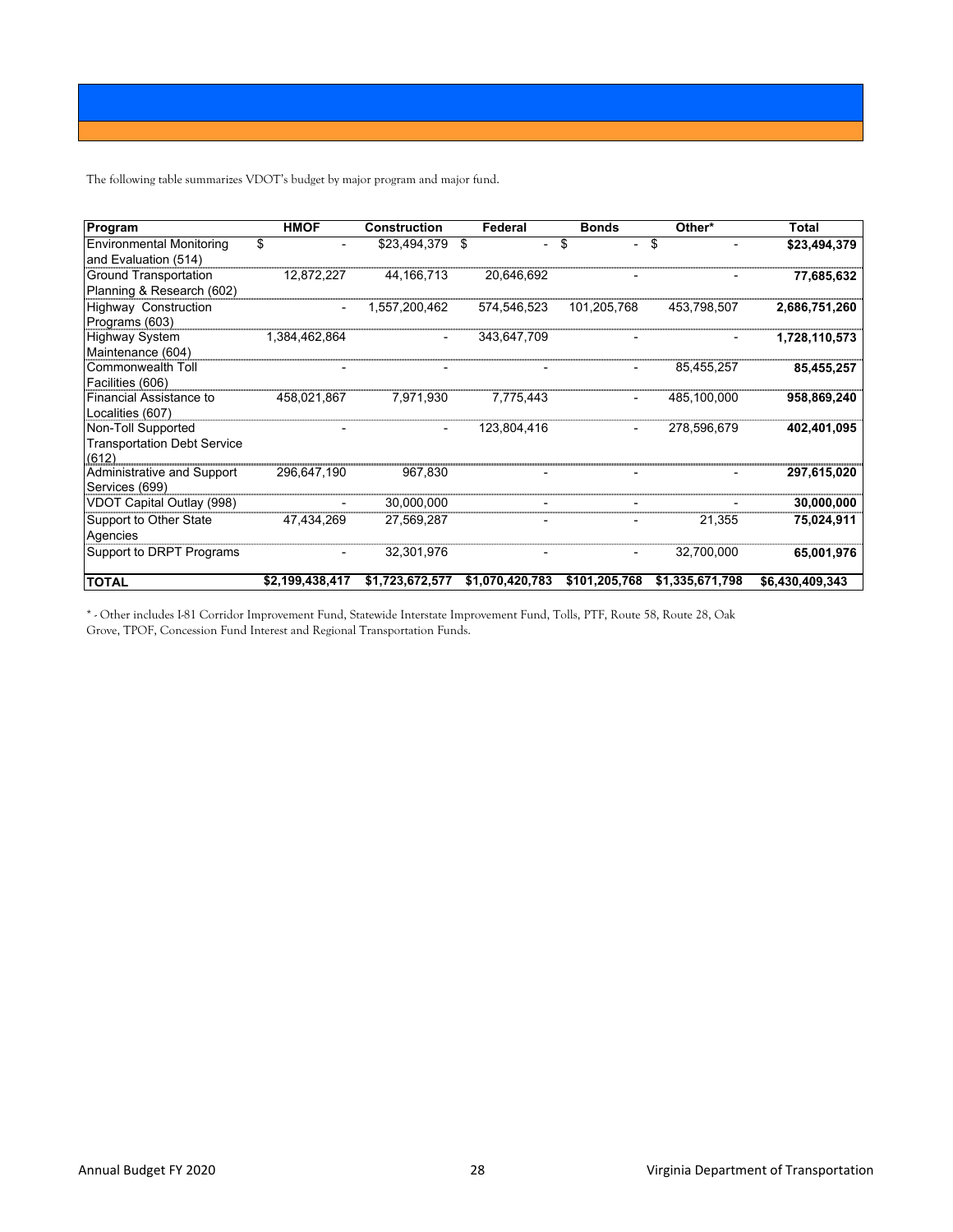The following table summarizes VDOT's budget by major program and major fund.

| Program                                                   | <b>HMOF</b>     | Construction    | Federal                        | <b>Bonds</b>  | Other*          | <b>Total</b>    |
|-----------------------------------------------------------|-----------------|-----------------|--------------------------------|---------------|-----------------|-----------------|
| <b>Environmental Monitoring</b><br>and Evaluation (514)   | \$              | \$23.494.379    | \$<br>$\overline{\phantom{0}}$ | \$            | \$              | \$23,494,379    |
| <b>Ground Transportation</b><br>Planning & Research (602) | 12,872,227      | 44.166.713      | 20.646.692                     |               |                 | 77,685,632      |
| <b>Highway Construction</b><br>Programs (603)             | $\sim$          | 1.557.200.462   | 574.546.523                    | 101.205.768   | 453.798.507     | 2,686,751,260   |
| Highway System<br>Maintenance (604)                       | 1.384.462.864   | $\sim$          | 343.647.709                    |               |                 | 1,728,110,573   |
| Commonwealth Toll                                         |                 |                 |                                |               | 85.455.257      | 85,455,257      |
| Facilities (606)                                          |                 |                 |                                |               |                 |                 |
| Financial Assistance to                                   | 458.021.867     | 7.971.930       | 7.775.443                      | $\sim$        | 485.100.000     | 958,869,240     |
| Localities (607)                                          |                 |                 |                                |               |                 |                 |
| Non-Toll Supported                                        |                 |                 | 123.804.416                    |               | 278.596.679     | 402,401,095     |
| <b>Transportation Debt Service</b>                        |                 |                 |                                |               |                 |                 |
| (612)                                                     |                 |                 |                                |               |                 |                 |
| Administrative and Support                                | 296.647.190     | 967,830         |                                |               |                 | 297,615,020     |
| Services (699)                                            |                 |                 |                                |               |                 |                 |
| VDOT Capital Outlay (998)                                 |                 | 30,000,000      |                                |               |                 | 30,000,000      |
| Support to Other State                                    | 47,434,269      | 27,569,287      |                                |               | 21.355          | 75,024,911      |
| Agencies                                                  |                 |                 |                                |               |                 |                 |
| Support to DRPT Programs                                  |                 | 32.301.976      |                                |               | 32.700.000      | 65,001,976      |
| <b>TOTAL</b>                                              | \$2,199,438,417 | \$1,723,672,577 | \$1,070,420,783                | \$101,205,768 | \$1,335,671,798 | \$6,430,409,343 |

\* - Other includes I-81 Corridor Improvement Fund, Statewide Interstate Improvement Fund, Tolls, PTF, Route 58, Route 28, Oak Grove, TPOF, Concession Fund Interest and Regional Transportation Funds.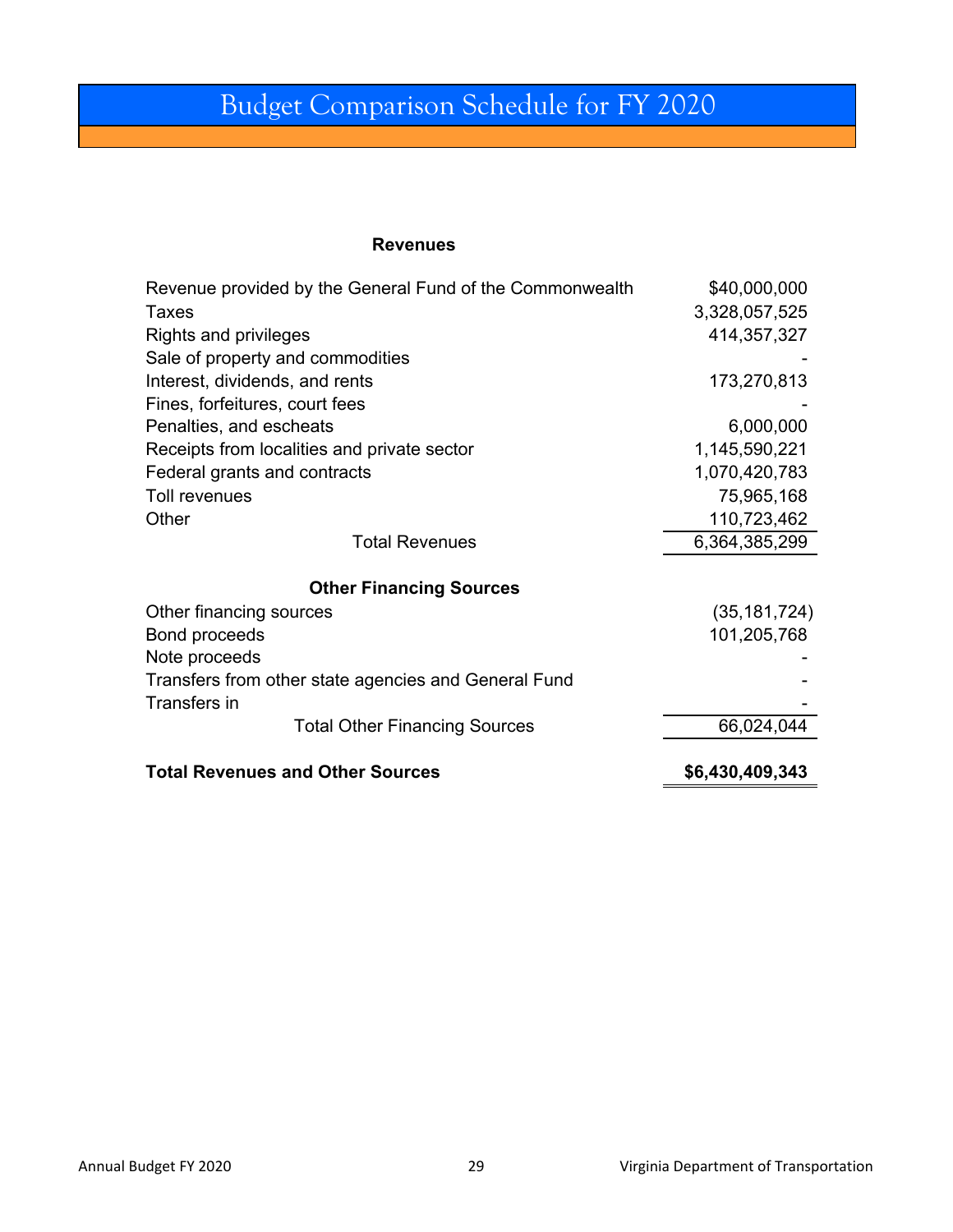## Budget Comparison Schedule for FY 2020

#### **Revenues**

| Revenue provided by the General Fund of the Commonwealth | \$40,000,000    |
|----------------------------------------------------------|-----------------|
| <b>Taxes</b>                                             | 3,328,057,525   |
| <b>Rights and privileges</b>                             | 414, 357, 327   |
| Sale of property and commodities                         |                 |
| Interest, dividends, and rents                           | 173,270,813     |
| Fines, forfeitures, court fees                           |                 |
| Penalties, and escheats                                  | 6,000,000       |
| Receipts from localities and private sector              | 1,145,590,221   |
| Federal grants and contracts                             | 1,070,420,783   |
| Toll revenues                                            | 75,965,168      |
| Other                                                    | 110,723,462     |
| <b>Total Revenues</b>                                    | 6,364,385,299   |
| <b>Other Financing Sources</b>                           |                 |
| Other financing sources                                  | (35, 181, 724)  |
| Bond proceeds                                            | 101,205,768     |
| Note proceeds                                            |                 |
| Transfers from other state agencies and General Fund     |                 |
| Transfers in                                             |                 |
| <b>Total Other Financing Sources</b>                     | 66,024,044      |
| <b>Total Revenues and Other Sources</b>                  | \$6,430,409,343 |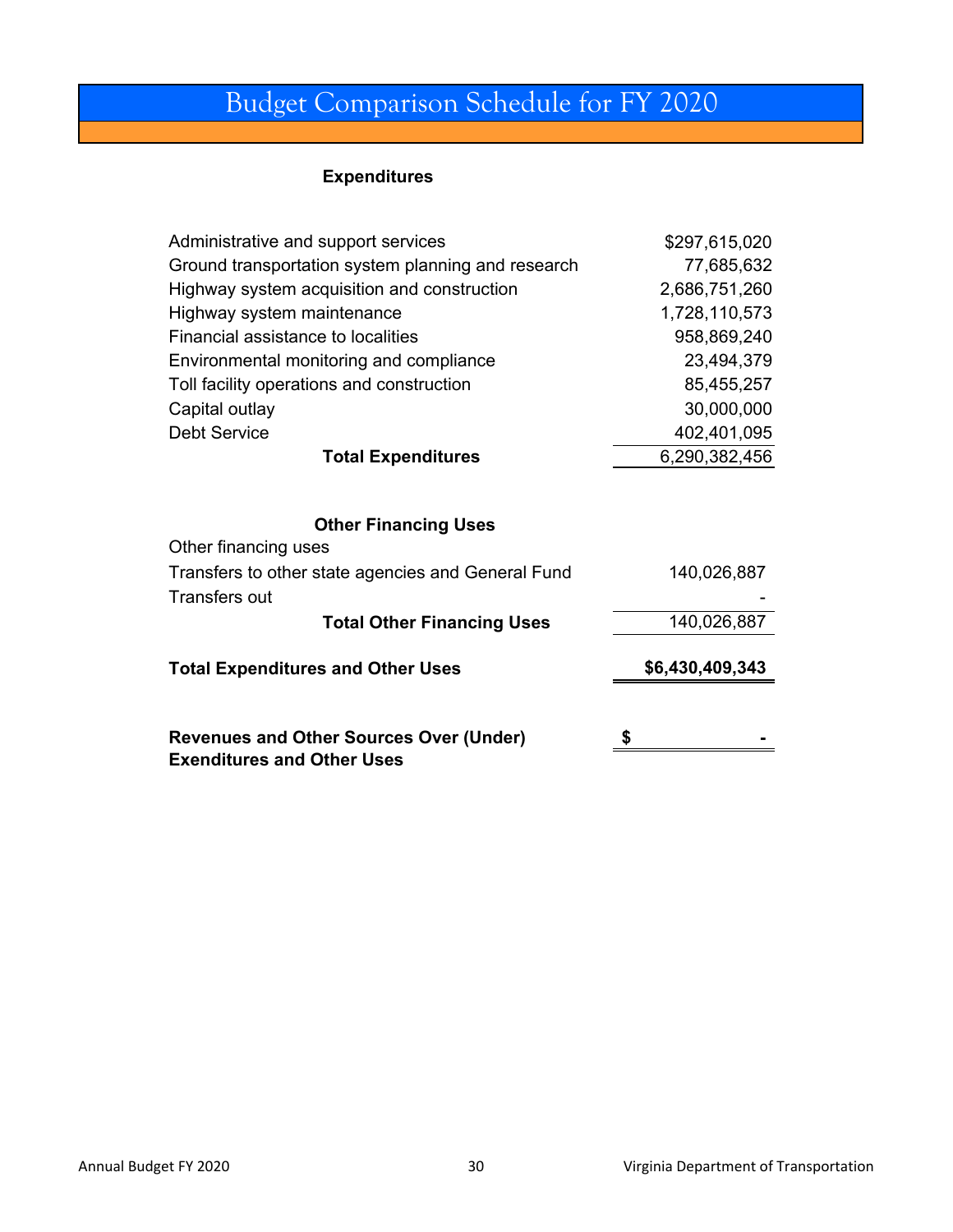## Budget Comparison Schedule for FY 2020

### **Expenditures**

| Administrative and support services                                                 | \$297,615,020   |
|-------------------------------------------------------------------------------------|-----------------|
| Ground transportation system planning and research                                  | 77,685,632      |
| Highway system acquisition and construction                                         | 2,686,751,260   |
| Highway system maintenance                                                          | 1,728,110,573   |
| Financial assistance to localities                                                  | 958,869,240     |
| Environmental monitoring and compliance                                             | 23,494,379      |
| Toll facility operations and construction                                           | 85,455,257      |
| Capital outlay                                                                      | 30,000,000      |
| <b>Debt Service</b>                                                                 | 402,401,095     |
| <b>Total Expenditures</b>                                                           | 6,290,382,456   |
| <b>Other Financing Uses</b><br>Other financing uses                                 |                 |
| Transfers to other state agencies and General Fund                                  | 140,026,887     |
| <b>Transfers out</b>                                                                |                 |
| <b>Total Other Financing Uses</b>                                                   | 140,026,887     |
| <b>Total Expenditures and Other Uses</b>                                            | \$6,430,409,343 |
| <b>Revenues and Other Sources Over (Under)</b><br><b>Exenditures and Other Uses</b> |                 |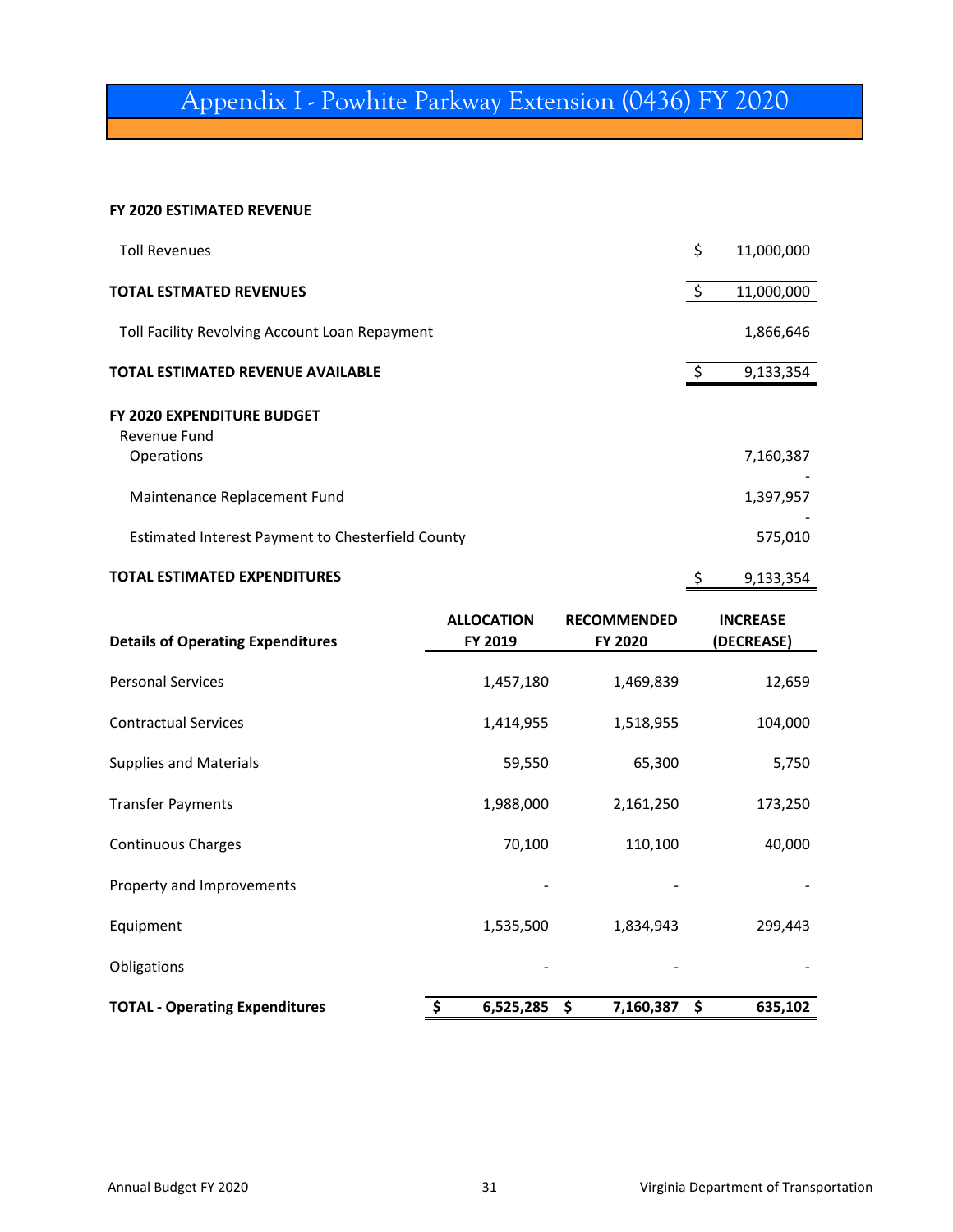## Appendix I - Powhite Parkway Extension (0436) FY 2020

#### **FY 2020 ESTIMATED REVENUE**

| <b>Toll Revenues</b>                                            | \$<br>11,000,000            |
|-----------------------------------------------------------------|-----------------------------|
| <b>TOTAL ESTMATED REVENUES</b>                                  | $\ddot{\phi}$<br>11,000,000 |
| Toll Facility Revolving Account Loan Repayment                  | 1,866,646                   |
| <b>TOTAL ESTIMATED REVENUE AVAILABLE</b>                        | 9,133,354                   |
| <b>FY 2020 EXPENDITURE BUDGET</b><br>Revenue Fund<br>Operations | 7,160,387                   |
| Maintenance Replacement Fund                                    | 1,397,957                   |
| Estimated Interest Payment to Chesterfield County               | 575,010                     |
| <b>TOTAL ESTIMATED EXPENDITURES</b>                             | \$<br>9,133,354             |

| <b>Details of Operating Expenditures</b> | <b>ALLOCATION</b><br>FY 2019 | <b>RECOMMENDED</b><br>FY 2020 | <b>INCREASE</b><br>(DECREASE) |
|------------------------------------------|------------------------------|-------------------------------|-------------------------------|
| <b>Personal Services</b>                 | 1,457,180                    | 1,469,839                     | 12,659                        |
| <b>Contractual Services</b>              | 1,414,955                    | 1,518,955                     | 104,000                       |
| <b>Supplies and Materials</b>            | 59,550                       | 65,300                        | 5,750                         |
| <b>Transfer Payments</b>                 | 1,988,000                    | 2,161,250                     | 173,250                       |
| <b>Continuous Charges</b>                | 70,100                       | 110,100                       | 40,000                        |
| Property and Improvements                |                              |                               |                               |
| Equipment                                | 1,535,500                    | 1,834,943                     | 299,443                       |
| Obligations                              |                              |                               |                               |
| <b>TOTAL - Operating Expenditures</b>    | \$<br>6,525,285              | \$<br>7,160,387               | \$<br>635,102                 |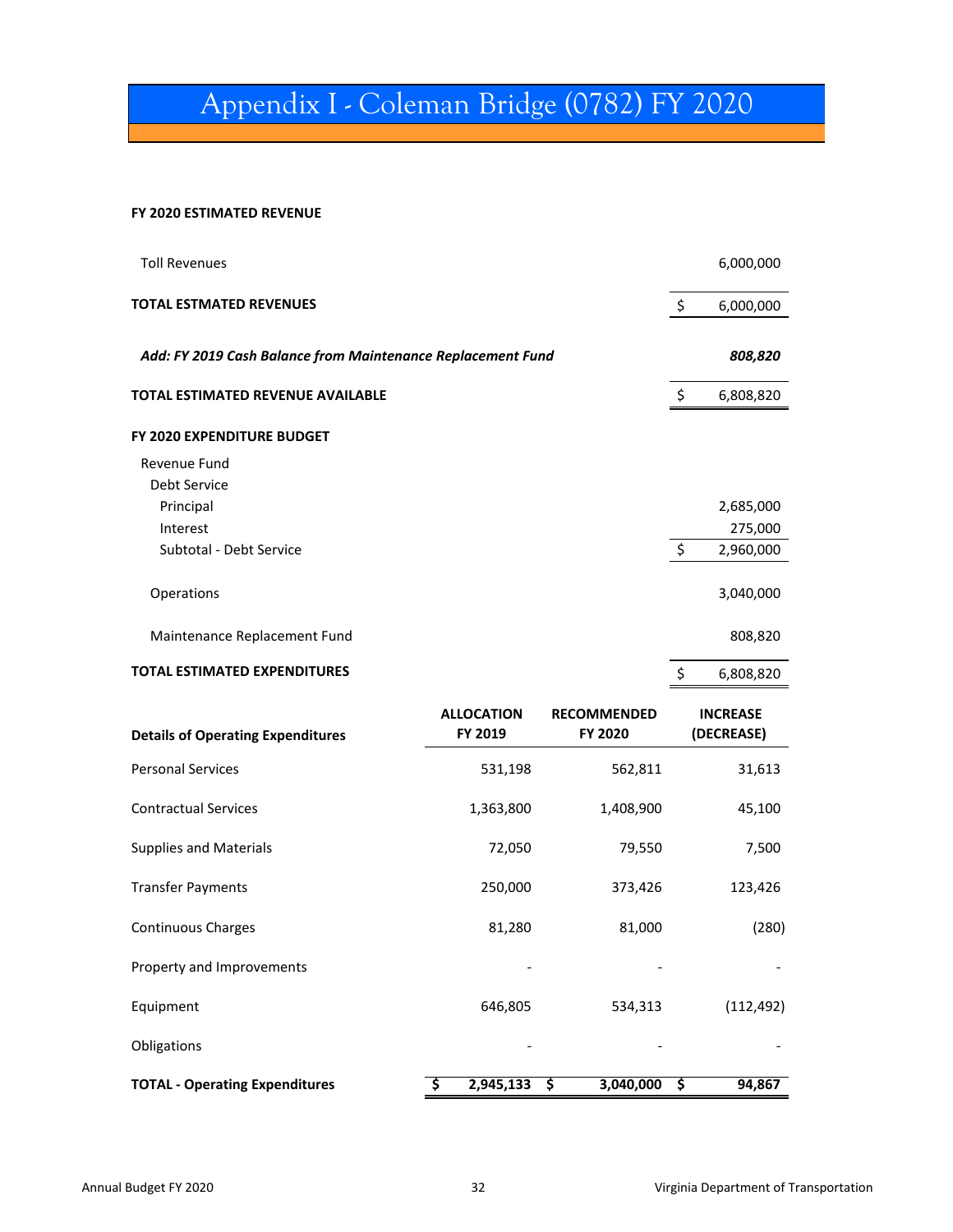Appendix I - Coleman Bridge (0782) FY 2020

#### **FY 2020 ESTIMATED REVENUE**

| <b>Toll Revenues</b>                                        |                    | 6,000,000 |
|-------------------------------------------------------------|--------------------|-----------|
| <b>TOTAL ESTMATED REVENUES</b>                              | \$                 | 6,000,000 |
| Add: FY 2019 Cash Balance from Maintenance Replacement Fund |                    | 808,820   |
| TOTAL ESTIMATED REVENUE AVAILABLE                           | \$                 | 6,808,820 |
| <b>FY 2020 EXPENDITURE BUDGET</b>                           |                    |           |
| Revenue Fund                                                |                    |           |
| <b>Debt Service</b>                                         |                    |           |
| Principal                                                   |                    | 2,685,000 |
| Interest                                                    |                    | 275,000   |
| Subtotal - Debt Service                                     | $\ddot{\varsigma}$ | 2,960,000 |
| Operations                                                  |                    | 3,040,000 |
| Maintenance Replacement Fund                                |                    | 808,820   |
| TOTAL ESTIMATED EXPENDITURES                                | \$                 | 6,808,820 |

| <b>Details of Operating Expenditures</b> | <b>ALLOCATION</b><br>FY 2019 | <b>RECOMMENDED</b><br>FY 2020 | <b>INCREASE</b><br>(DECREASE) |
|------------------------------------------|------------------------------|-------------------------------|-------------------------------|
| <b>Personal Services</b>                 | 531,198                      | 562,811                       | 31,613                        |
| <b>Contractual Services</b>              | 1,363,800                    | 1,408,900                     | 45,100                        |
| <b>Supplies and Materials</b>            | 72,050                       | 79,550                        | 7,500                         |
| <b>Transfer Payments</b>                 | 250,000                      | 373,426                       | 123,426                       |
| <b>Continuous Charges</b>                | 81,280                       | 81,000                        | (280)                         |
| Property and Improvements                |                              |                               |                               |
| Equipment                                | 646,805                      | 534,313                       | (112, 492)                    |
| Obligations                              |                              |                               |                               |
| <b>TOTAL - Operating Expenditures</b>    | \$<br>2,945,133              | \$<br>3,040,000               | \$<br>94,867                  |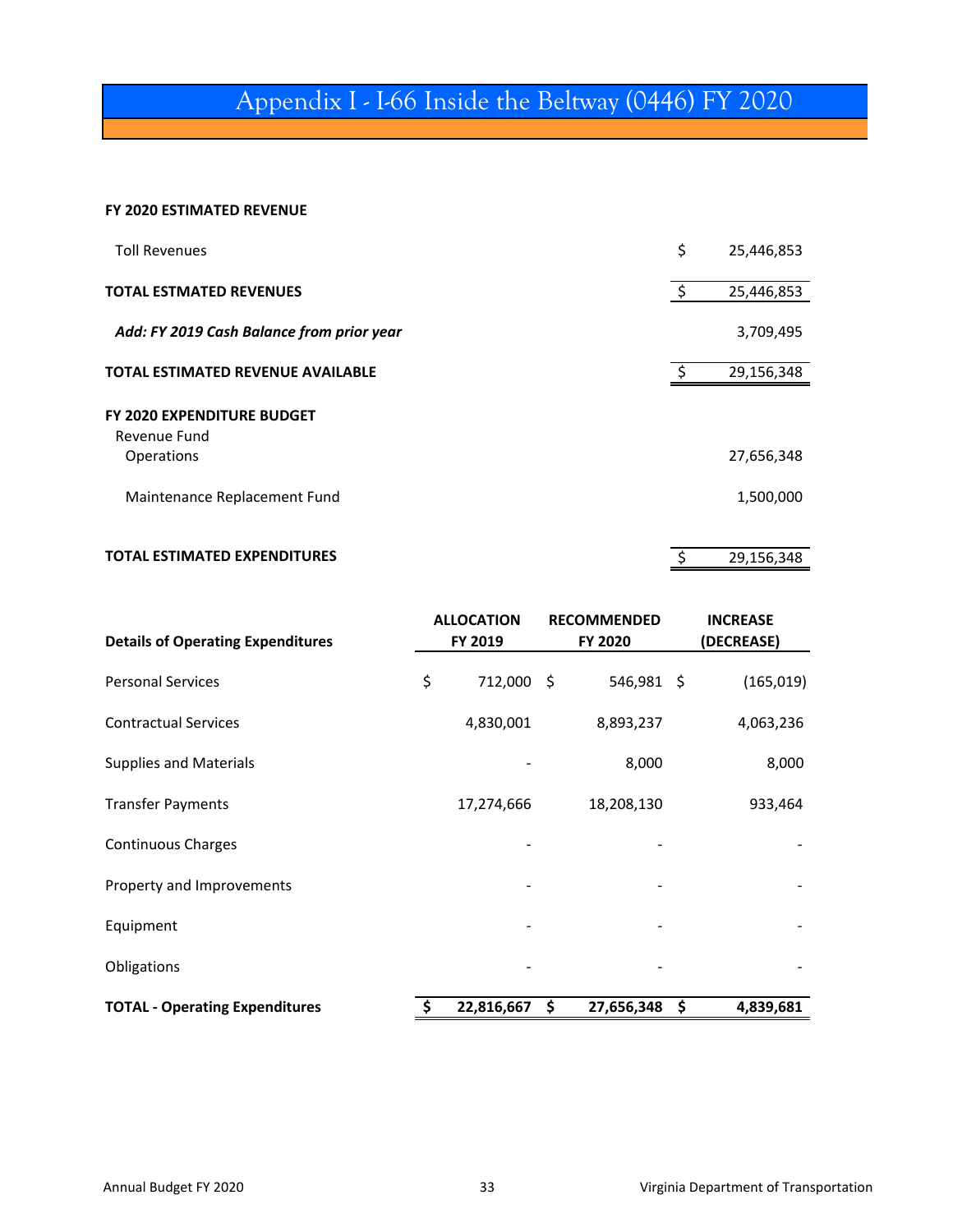## Appendix I - I-66 Inside the Beltway (0446) FY 2020

#### **FY 2020 ESTIMATED REVENUE**

| <b>Toll Revenues</b>                       | \$<br>25,446,853 |
|--------------------------------------------|------------------|
| <b>TOTAL ESTMATED REVENUES</b>             | 25,446,853       |
| Add: FY 2019 Cash Balance from prior year  | 3,709,495        |
| TOTAL ESTIMATED REVENUE AVAILABLE          | 29,156,348       |
| FY 2020 EXPENDITURE BUDGET<br>Revenue Fund |                  |
| Operations                                 | 27,656,348       |
| Maintenance Replacement Fund               | 1,500,000        |

#### **TOTAL ESTIMATED EXPENDITURES 1999 129.156,348**

| <b>Details of Operating Expenditures</b> | <b>ALLOCATION</b><br><b>RECOMMENDED</b><br>FY 2019<br>FY 2020 |            |     | <b>INCREASE</b><br>(DECREASE) |     |            |
|------------------------------------------|---------------------------------------------------------------|------------|-----|-------------------------------|-----|------------|
| <b>Personal Services</b>                 | \$                                                            | 712,000 \$ |     | 546,981 \$                    |     | (165, 019) |
| <b>Contractual Services</b>              |                                                               | 4,830,001  |     | 8,893,237                     |     | 4,063,236  |
| <b>Supplies and Materials</b>            |                                                               |            |     | 8,000                         |     | 8,000      |
| <b>Transfer Payments</b>                 |                                                               | 17,274,666 |     | 18,208,130                    |     | 933,464    |
| <b>Continuous Charges</b>                |                                                               |            |     |                               |     |            |
| Property and Improvements                |                                                               |            |     |                               |     |            |
| Equipment                                |                                                               |            |     |                               |     |            |
| Obligations                              |                                                               |            |     |                               |     |            |
| <b>TOTAL - Operating Expenditures</b>    |                                                               | 22,816,667 | -\$ | 27,656,348                    | -\$ | 4,839,681  |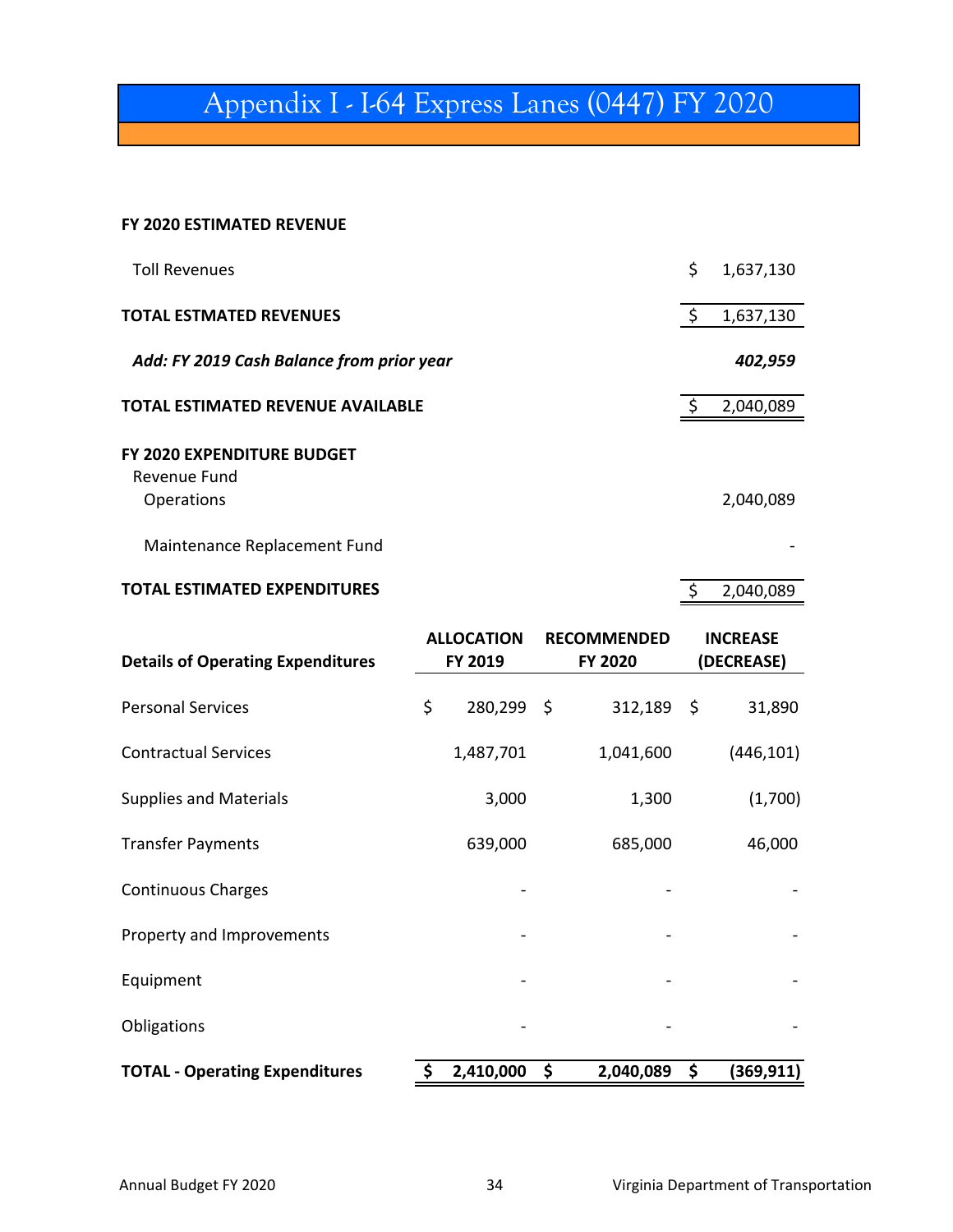Appendix I - I-64 Express Lanes (0447) FY 2020

#### **FY 2020 ESTIMATED REVENUE**

| <b>Toll Revenues</b>                                            | \$<br>1,637,130 |
|-----------------------------------------------------------------|-----------------|
| <b>TOTAL ESTMATED REVENUES</b>                                  | 1,637,130       |
| Add: FY 2019 Cash Balance from prior year                       | 402,959         |
| TOTAL ESTIMATED REVENUE AVAILABLE                               | 2,040,089       |
| FY 2020 EXPENDITURE BUDGET<br>Revenue Fund<br><b>Operations</b> | 2,040,089       |

Maintenance Replacement Fund ‐

#### **TOTAL ESTIMATED EXPENDITURES 1999 12,040,089**

| <b>Details of Operating Expenditures</b> | <b>ALLOCATION</b><br>FY 2019 |            | <b>RECOMMENDED</b><br>FY 2020 |              | <b>INCREASE</b><br>DECREASE) |            |
|------------------------------------------|------------------------------|------------|-------------------------------|--------------|------------------------------|------------|
| <b>Personal Services</b>                 | \$                           | 280,299 \$ |                               | $312,189$ \$ |                              | 31,890     |
| <b>Contractual Services</b>              |                              | 1,487,701  |                               | 1,041,600    |                              | (446, 101) |
| <b>Supplies and Materials</b>            |                              | 3,000      |                               | 1,300        |                              | (1,700)    |
| <b>Transfer Payments</b>                 |                              | 639,000    |                               | 685,000      |                              | 46,000     |
| <b>Continuous Charges</b>                |                              |            |                               |              |                              |            |
| Property and Improvements                |                              |            |                               |              |                              |            |
| Equipment                                |                              |            |                               |              |                              |            |
| Obligations                              |                              |            |                               |              |                              |            |
| <b>TOTAL - Operating Expenditures</b>    | \$                           | 2,410,000  | \$                            | 2,040,089    | \$                           | (369,911)  |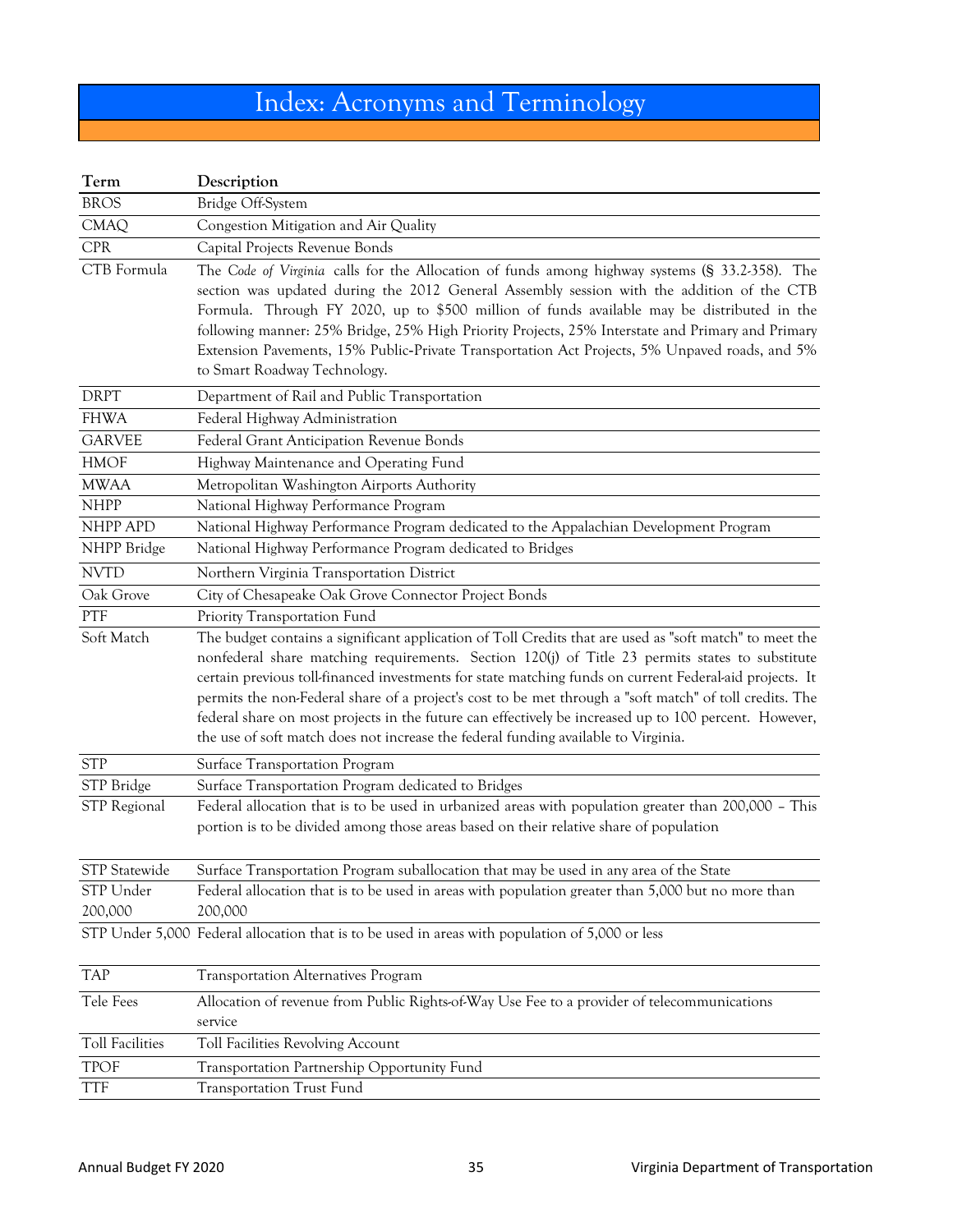## Index: Acronyms and Terminology

| Term                   | Description                                                                                                                                                                                                                                                                                                                                                                                                                                                                                                                                                                                                                     |
|------------------------|---------------------------------------------------------------------------------------------------------------------------------------------------------------------------------------------------------------------------------------------------------------------------------------------------------------------------------------------------------------------------------------------------------------------------------------------------------------------------------------------------------------------------------------------------------------------------------------------------------------------------------|
| <b>BROS</b>            | Bridge Off-System                                                                                                                                                                                                                                                                                                                                                                                                                                                                                                                                                                                                               |
| <b>CMAQ</b>            | Congestion Mitigation and Air Quality                                                                                                                                                                                                                                                                                                                                                                                                                                                                                                                                                                                           |
| <b>CPR</b>             | Capital Projects Revenue Bonds                                                                                                                                                                                                                                                                                                                                                                                                                                                                                                                                                                                                  |
| CTB Formula            | The Code of Virginia calls for the Allocation of funds among highway systems (§ 33.2-358). The<br>section was updated during the 2012 General Assembly session with the addition of the CTB<br>Formula. Through FY 2020, up to \$500 million of funds available may be distributed in the<br>following manner: 25% Bridge, 25% High Priority Projects, 25% Interstate and Primary and Primary<br>Extension Pavements, 15% Public-Private Transportation Act Projects, 5% Unpaved roads, and 5%<br>to Smart Roadway Technology.                                                                                                  |
| <b>DRPT</b>            | Department of Rail and Public Transportation                                                                                                                                                                                                                                                                                                                                                                                                                                                                                                                                                                                    |
| <b>FHWA</b>            | Federal Highway Administration                                                                                                                                                                                                                                                                                                                                                                                                                                                                                                                                                                                                  |
| <b>GARVEE</b>          | Federal Grant Anticipation Revenue Bonds                                                                                                                                                                                                                                                                                                                                                                                                                                                                                                                                                                                        |
| <b>HMOF</b>            | Highway Maintenance and Operating Fund                                                                                                                                                                                                                                                                                                                                                                                                                                                                                                                                                                                          |
| <b>MWAA</b>            | Metropolitan Washington Airports Authority                                                                                                                                                                                                                                                                                                                                                                                                                                                                                                                                                                                      |
| <b>NHPP</b>            | National Highway Performance Program                                                                                                                                                                                                                                                                                                                                                                                                                                                                                                                                                                                            |
| NHPP APD               | National Highway Performance Program dedicated to the Appalachian Development Program                                                                                                                                                                                                                                                                                                                                                                                                                                                                                                                                           |
| NHPP Bridge            | National Highway Performance Program dedicated to Bridges                                                                                                                                                                                                                                                                                                                                                                                                                                                                                                                                                                       |
| <b>NVTD</b>            | Northern Virginia Transportation District                                                                                                                                                                                                                                                                                                                                                                                                                                                                                                                                                                                       |
| Oak Grove              | City of Chesapeake Oak Grove Connector Project Bonds                                                                                                                                                                                                                                                                                                                                                                                                                                                                                                                                                                            |
| PTF                    | Priority Transportation Fund                                                                                                                                                                                                                                                                                                                                                                                                                                                                                                                                                                                                    |
| Soft Match             | The budget contains a significant application of Toll Credits that are used as "soft match" to meet the<br>nonfederal share matching requirements. Section 120(j) of Title 23 permits states to substitute<br>certain previous toll-financed investments for state matching funds on current Federal-aid projects. It<br>permits the non-Federal share of a project's cost to be met through a "soft match" of toll credits. The<br>federal share on most projects in the future can effectively be increased up to 100 percent. However,<br>the use of soft match does not increase the federal funding available to Virginia. |
| <b>STP</b>             | Surface Transportation Program                                                                                                                                                                                                                                                                                                                                                                                                                                                                                                                                                                                                  |
| STP Bridge             | Surface Transportation Program dedicated to Bridges                                                                                                                                                                                                                                                                                                                                                                                                                                                                                                                                                                             |
| <b>STP</b> Regional    | Federal allocation that is to be used in urbanized areas with population greater than 200,000 - This<br>portion is to be divided among those areas based on their relative share of population                                                                                                                                                                                                                                                                                                                                                                                                                                  |
| STP Statewide          | Surface Transportation Program suballocation that may be used in any area of the State                                                                                                                                                                                                                                                                                                                                                                                                                                                                                                                                          |
| STP Under              | Federal allocation that is to be used in areas with population greater than 5,000 but no more than                                                                                                                                                                                                                                                                                                                                                                                                                                                                                                                              |
| 200,000                | 200,000                                                                                                                                                                                                                                                                                                                                                                                                                                                                                                                                                                                                                         |
|                        | STP Under 5,000 Federal allocation that is to be used in areas with population of 5,000 or less                                                                                                                                                                                                                                                                                                                                                                                                                                                                                                                                 |
| <b>TAP</b>             | <b>Transportation Alternatives Program</b>                                                                                                                                                                                                                                                                                                                                                                                                                                                                                                                                                                                      |
| Tele Fees              | Allocation of revenue from Public Rights-of-Way Use Fee to a provider of telecommunications<br>service                                                                                                                                                                                                                                                                                                                                                                                                                                                                                                                          |
| <b>Toll Facilities</b> | Toll Facilities Revolving Account                                                                                                                                                                                                                                                                                                                                                                                                                                                                                                                                                                                               |
| <b>TPOF</b>            | Transportation Partnership Opportunity Fund                                                                                                                                                                                                                                                                                                                                                                                                                                                                                                                                                                                     |
| <b>TTF</b>             | <b>Transportation Trust Fund</b>                                                                                                                                                                                                                                                                                                                                                                                                                                                                                                                                                                                                |